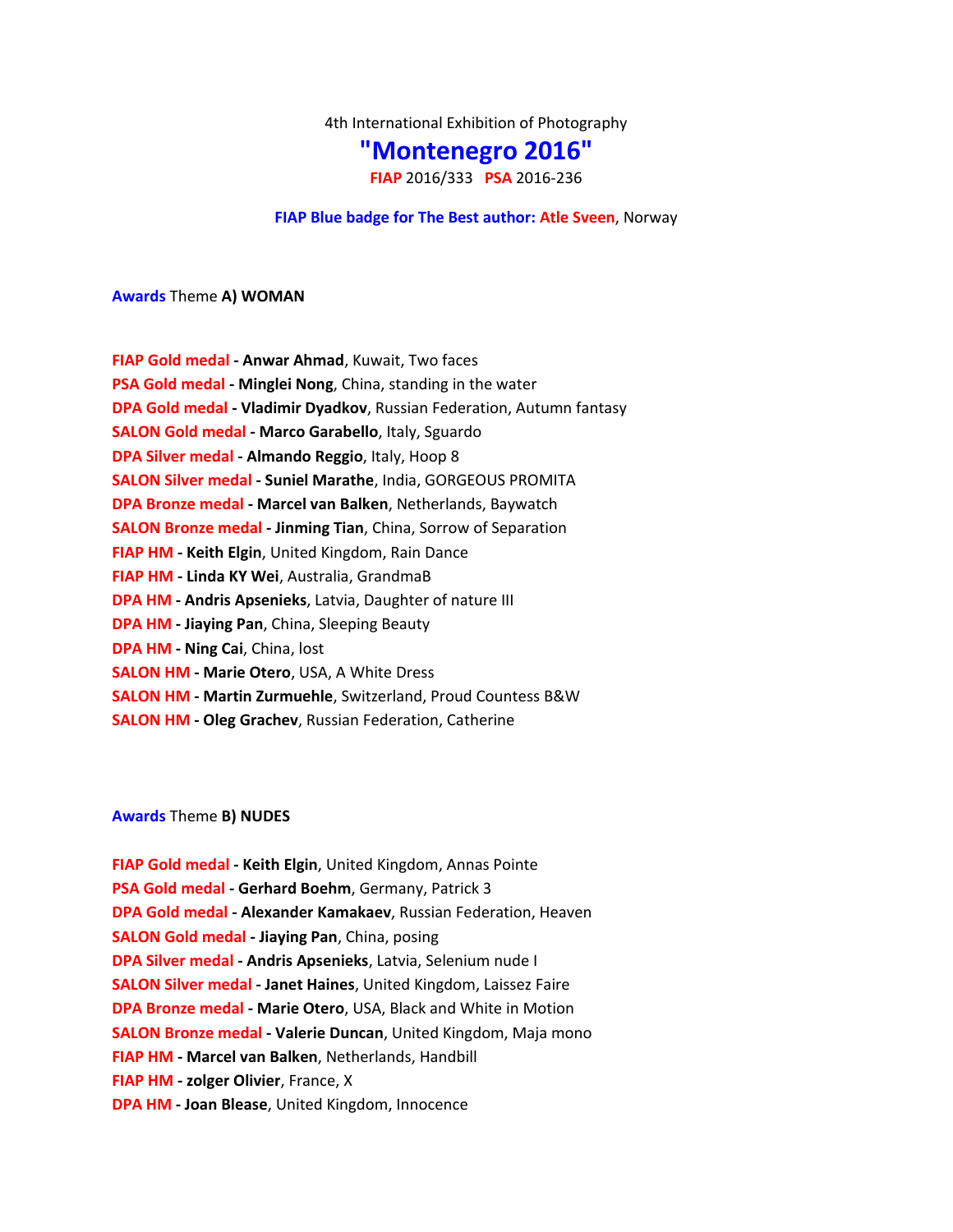4th International Exhibition of Photography

# **"Montenegro 2016"**

**FIAP** 2016/333 **PSA** 2016-236

### **FIAP Blue badge for The Best author: [Atle Sveen](http://www.photoclubmontenegro.com/main/index.php?op=100&l=1&uidp=1894)**, Norway

**Awards** Theme **A) WOMAN**

| <b>FIAP Gold medal - Anwar Ahmad, Kuwait, Two faces</b>                 |
|-------------------------------------------------------------------------|
| PSA Gold medal - Minglei Nong, China, standing in the water             |
| DPA Gold medal - Vladimir Dyadkov, Russian Federation, Autumn fantasy   |
| <b>SALON Gold medal - Marco Garabello, Italy, Sguardo</b>               |
| DPA Silver medal - Almando Reggio, Italy, Hoop 8                        |
| <b>SALON Silver medal - Suniel Marathe, India, GORGEOUS PROMITA</b>     |
| <b>DPA Bronze medal - Marcel van Balken</b> , Netherlands, Baywatch     |
| <b>SALON Bronze medal - Jinming Tian, China, Sorrow of Separation</b>   |
| FIAP HM - Keith Elgin, United Kingdom, Rain Dance                       |
| FIAP HM - Linda KY Wei, Australia, GrandmaB                             |
| DPA HM - Andris Apsenieks, Latvia, Daughter of nature III               |
| <b>DPA HM - Jiaying Pan, China, Sleeping Beauty</b>                     |
| <b>DPA HM - Ning Cai, China, lost</b>                                   |
| <b>SALON HM - Marie Otero, USA, A White Dress</b>                       |
| <b>SALON HM - Martin Zurmuehle, Switzerland, Proud Countess B&amp;W</b> |
| <b>SALON HM - Oleg Grachev, Russian Federation, Catherine</b>           |

#### **Awards** Theme **B) NUDES**

**FIAP Gold medal - Keith Elgin**, United Kingdom, Annas Pointe **PSA Gold medal - Gerhard Boehm**, Germany, Patrick 3 **DPA Gold medal - Alexander Kamakaev**, Russian Federation, Heaven **SALON Gold medal - Jiaying Pan**, China, posing **DPA Silver medal - Andris Apsenieks**, Latvia, Selenium nude I **SALON Silver medal - Janet Haines**, United Kingdom, Laissez Faire **DPA Bronze medal - Marie Otero**, USA, Black and White in Motion **SALON Bronze medal - Valerie Duncan**, United Kingdom, Maja mono **FIAP HM - Marcel van Balken**, Netherlands, Handbill **FIAP HM - zolger Olivier**, France, X **DPA HM - Joan Blease**, United Kingdom, Innocence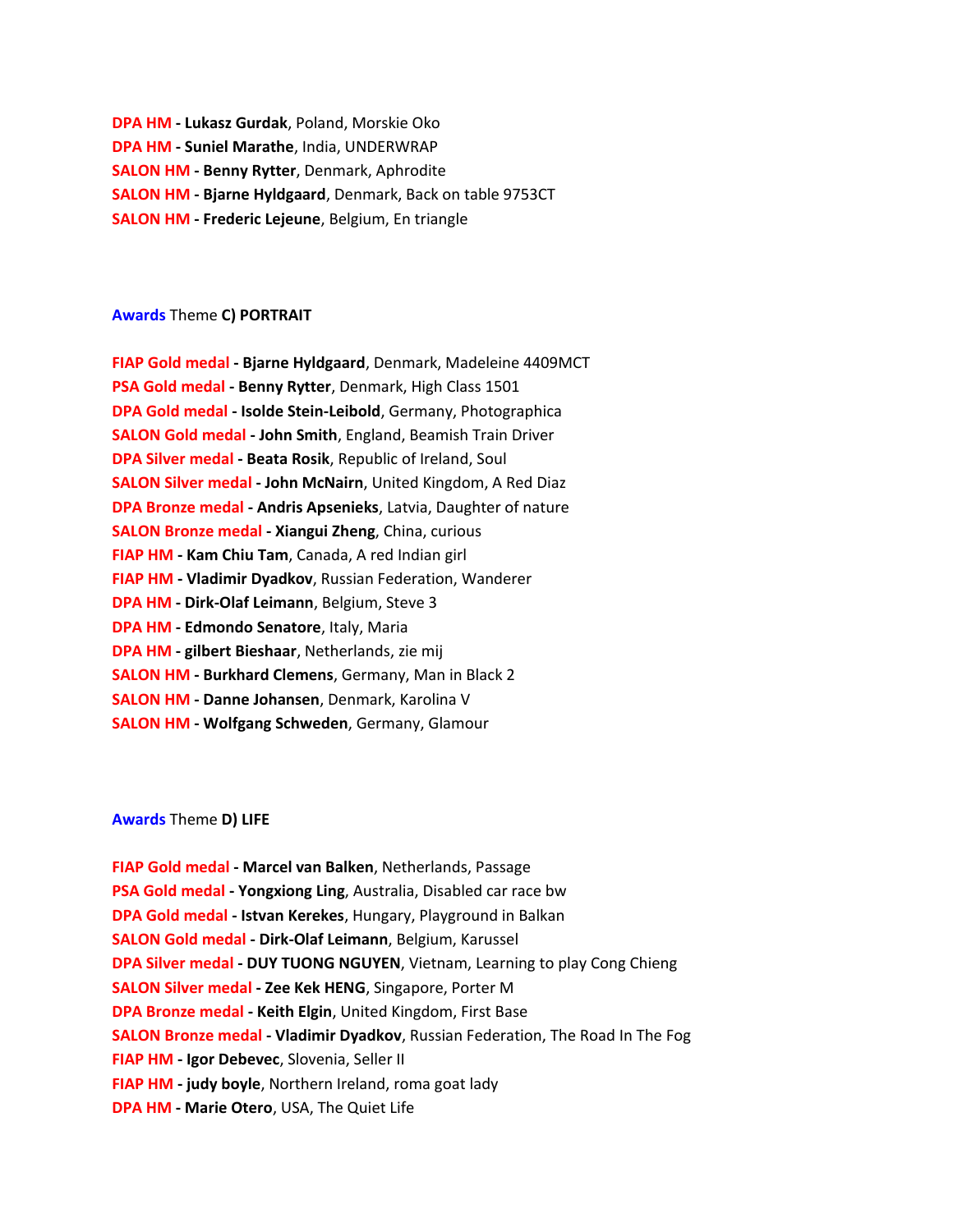**DPA HM - Lukasz Gurdak**, Poland, Morskie Oko **DPA HM - Suniel Marathe**, India, UNDERWRAP **SALON HM - Benny Rytter**, Denmark, Aphrodite **SALON HM - Bjarne Hyldgaard**, Denmark, Back on table 9753CT **SALON HM - Frederic Lejeune**, Belgium, En triangle

### **Awards** Theme **C) PORTRAIT**

| FIAP Gold medal - Bjarne Hyldgaard, Denmark, Madeleine 4409MCT      |
|---------------------------------------------------------------------|
| PSA Gold medal - Benny Rytter, Denmark, High Class 1501             |
| DPA Gold medal - Isolde Stein-Leibold, Germany, Photographica       |
| <b>SALON Gold medal - John Smith, England, Beamish Train Driver</b> |
| DPA Silver medal - Beata Rosik, Republic of Ireland, Soul           |
| SALON Silver medal - John McNairn, United Kingdom, A Red Diaz       |
| DPA Bronze medal - Andris Apsenieks, Latvia, Daughter of nature     |
| <b>SALON Bronze medal - Xiangui Zheng, China, curious</b>           |
| FIAP HM - Kam Chiu Tam, Canada, A red Indian girl                   |
| FIAP HM - Vladimir Dyadkov, Russian Federation, Wanderer            |
| <b>DPA HM - Dirk-Olaf Leimann</b> , Belgium, Steve 3                |
| <b>DPA HM - Edmondo Senatore, Italy, Maria</b>                      |
| <b>DPA HM - gilbert Bieshaar, Netherlands, zie mij</b>              |
| <b>SALON HM - Burkhard Clemens, Germany, Man in Black 2</b>         |
| <b>SALON HM - Danne Johansen</b> , Denmark, Karolina V              |
| <b>SALON HM - Wolfgang Schweden, Germany, Glamour</b>               |
|                                                                     |

#### **Awards** Theme **D) LIFE**

**FIAP Gold medal - Marcel van Balken**, Netherlands, Passage **PSA Gold medal - Yongxiong Ling**, Australia, Disabled car race bw **DPA Gold medal - Istvan Kerekes**, Hungary, Playground in Balkan **SALON Gold medal - Dirk-Olaf Leimann**, Belgium, Karussel **DPA Silver medal - DUY TUONG NGUYEN**, Vietnam, Learning to play Cong Chieng **SALON Silver medal - Zee Kek HENG**, Singapore, Porter M **DPA Bronze medal - Keith Elgin**, United Kingdom, First Base **SALON Bronze medal - Vladimir Dyadkov**, Russian Federation, The Road In The Fog **FIAP HM - Igor Debevec**, Slovenia, Seller II **FIAP HM - judy boyle**, Northern Ireland, roma goat lady **DPA HM - Marie Otero**, USA, The Quiet Life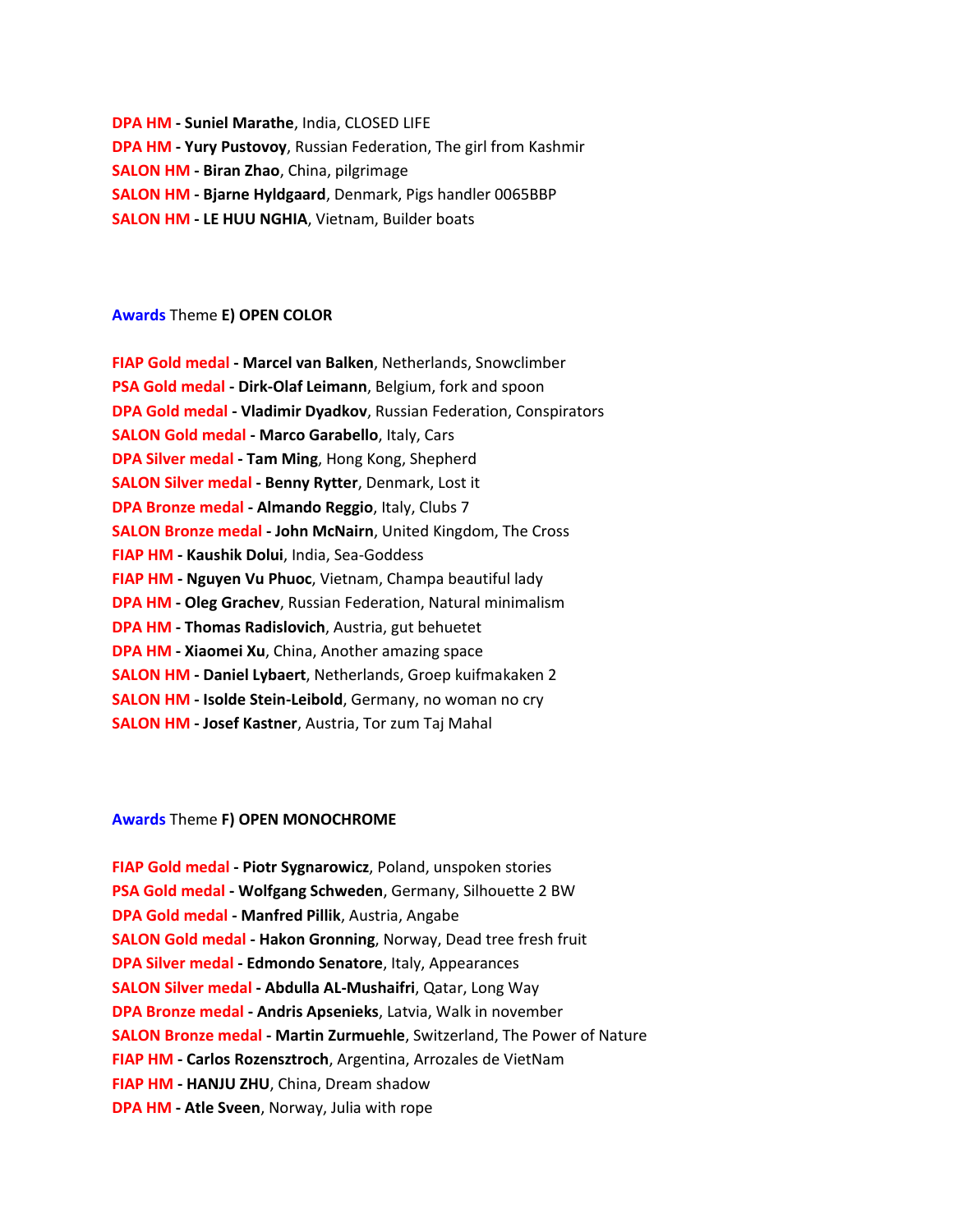**DPA HM - Suniel Marathe**, India, CLOSED LIFE **DPA HM - Yury Pustovoy**, Russian Federation, The girl from Kashmir **SALON HM - Biran Zhao**, China, pilgrimage **SALON HM - Bjarne Hyldgaard**, Denmark, Pigs handler 0065BBP **SALON HM - LE HUU NGHIA**, Vietnam, Builder boats

### **Awards** Theme **E) OPEN COLOR**

| FIAP Gold medal - Marcel van Balken, Netherlands, Snowclimber         |
|-----------------------------------------------------------------------|
| PSA Gold medal - Dirk-Olaf Leimann, Belgium, fork and spoon           |
| DPA Gold medal - Vladimir Dyadkov, Russian Federation, Conspirators   |
| <b>SALON Gold medal - Marco Garabello, Italy, Cars</b>                |
| DPA Silver medal - Tam Ming, Hong Kong, Shepherd                      |
| <b>SALON Silver medal - Benny Rytter, Denmark, Lost it</b>            |
| DPA Bronze medal - Almando Reggio, Italy, Clubs 7                     |
| <b>SALON Bronze medal - John McNairn</b> , United Kingdom, The Cross  |
| FIAP HM - Kaushik Dolui, India, Sea-Goddess                           |
| FIAP HM - Nguyen Vu Phuoc, Vietnam, Champa beautiful lady             |
| <b>DPA HM - Oleg Grachev</b> , Russian Federation, Natural minimalism |
| <b>DPA HM - Thomas Radislovich</b> , Austria, gut behuetet            |
| <b>DPA HM - Xiaomei Xu, China, Another amazing space</b>              |
| <b>SALON HM - Daniel Lybaert</b> , Netherlands, Groep kuifmakaken 2   |
| <b>SALON HM - Isolde Stein-Leibold</b> , Germany, no woman no cry     |
| <b>SALON HM - Josef Kastner, Austria, Tor zum Taj Mahal</b>           |

#### **Awards** Theme **F) OPEN MONOCHROME**

**FIAP Gold medal - Piotr Sygnarowicz**, Poland, unspoken stories **PSA Gold medal - Wolfgang Schweden**, Germany, Silhouette 2 BW **DPA Gold medal - Manfred Pillik**, Austria, Angabe **SALON Gold medal - Hakon Gronning**, Norway, Dead tree fresh fruit **DPA Silver medal - Edmondo Senatore**, Italy, Appearances **SALON Silver medal - Abdulla AL-Mushaifri**, Qatar, Long Way **DPA Bronze medal - Andris Apsenieks**, Latvia, Walk in november **SALON Bronze medal - Martin Zurmuehle**, Switzerland, The Power of Nature **FIAP HM - Carlos Rozensztroch**, Argentina, Arrozales de VietNam **FIAP HM - HANJU ZHU**, China, Dream shadow **DPA HM - Atle Sveen**, Norway, Julia with rope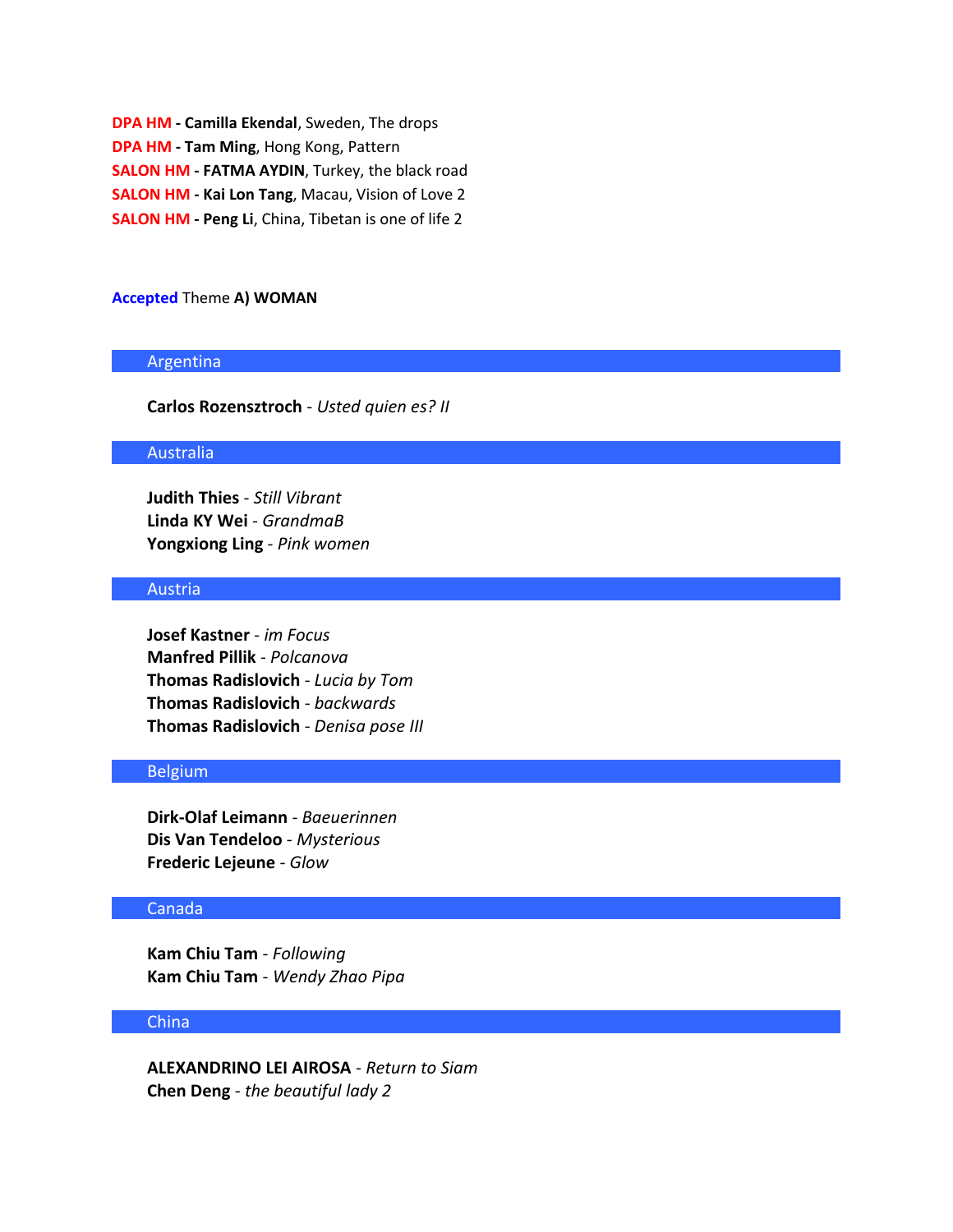**DPA HM - Camilla Ekendal**, Sweden, The drops **DPA HM - Tam Ming**, Hong Kong, Pattern **SALON HM - FATMA AYDIN**, Turkey, the black road **SALON HM - Kai Lon Tang**, Macau, Vision of Love 2 **SALON HM - Peng Li**, China, Tibetan is one of life 2

#### **Accepted** Theme **A) WOMAN**

#### Argentina

**Carlos Rozensztroch** - *Usted quien es? II*

### Australia

**Judith Thies** - *Still Vibrant* **Linda KY Wei** - *GrandmaB* **Yongxiong Ling** - *Pink women*

# Austria

**Josef Kastner** - *im Focus* **Manfred Pillik** - *Polcanova* **Thomas Radislovich** - *Lucia by Tom* **Thomas Radislovich** - *backwards* **Thomas Radislovich** - *Denisa pose III*

### Belgium

**Dirk-Olaf Leimann** - *Baeuerinnen* **Dis Van Tendeloo** - *Mysterious* **Frederic Lejeune** - *Glow*

### Canada

**Kam Chiu Tam** - *Following* **Kam Chiu Tam** - *Wendy Zhao Pipa*

#### China

**ALEXANDRINO LEI AIROSA** - *Return to Siam* **Chen Deng** - *the beautiful lady 2*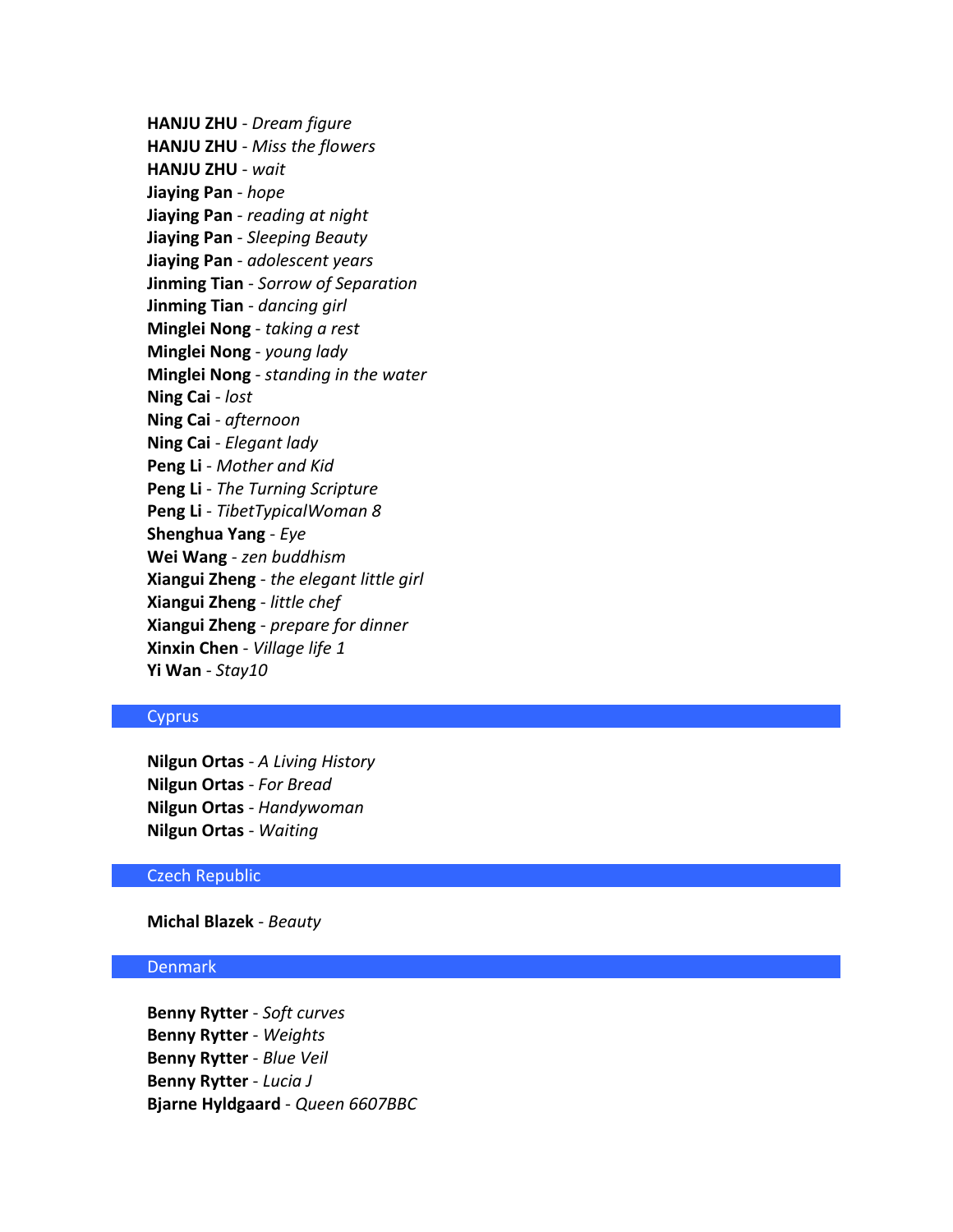**HANJU ZHU** - *Dream figure* **HANJU ZHU** - *Miss the flowers* **HANJU ZHU** - *wait* **Jiaying Pan** - *hope* **Jiaying Pan** - *reading at night* **Jiaying Pan** - *Sleeping Beauty* **Jiaying Pan** - *adolescent years* **Jinming Tian** - *Sorrow of Separation* **Jinming Tian** - *dancing girl* **Minglei Nong** - *taking a rest* **Minglei Nong** - *young lady* **Minglei Nong** - *standing in the water* **Ning Cai** - *lost* **Ning Cai** - *afternoon* **Ning Cai** - *Elegant lady* **Peng Li** - *Mother and Kid* **Peng Li** - *The Turning Scripture* **Peng Li** - *TibetTypicalWoman 8* **Shenghua Yang** - *Eye* **Wei Wang** - *zen buddhism* **Xiangui Zheng** - *the elegant little girl* **Xiangui Zheng** - *little chef* **Xiangui Zheng** - *prepare for dinner* **Xinxin Chen** - *Village life 1* **Yi Wan** - *Stay10*

### **Cyprus**

**Nilgun Ortas** - *A Living History* **Nilgun Ortas** - *For Bread* **Nilgun Ortas** - *Handywoman* **Nilgun Ortas** - *Waiting*

### Czech Republic

### **Michal Blazek** - *Beauty*

### Denmark

**Benny Rytter** - *Soft curves* **Benny Rytter** - *Weights* **Benny Rytter** - *Blue Veil* **Benny Rytter** - *Lucia J* **Bjarne Hyldgaard** - *Queen 6607BBC*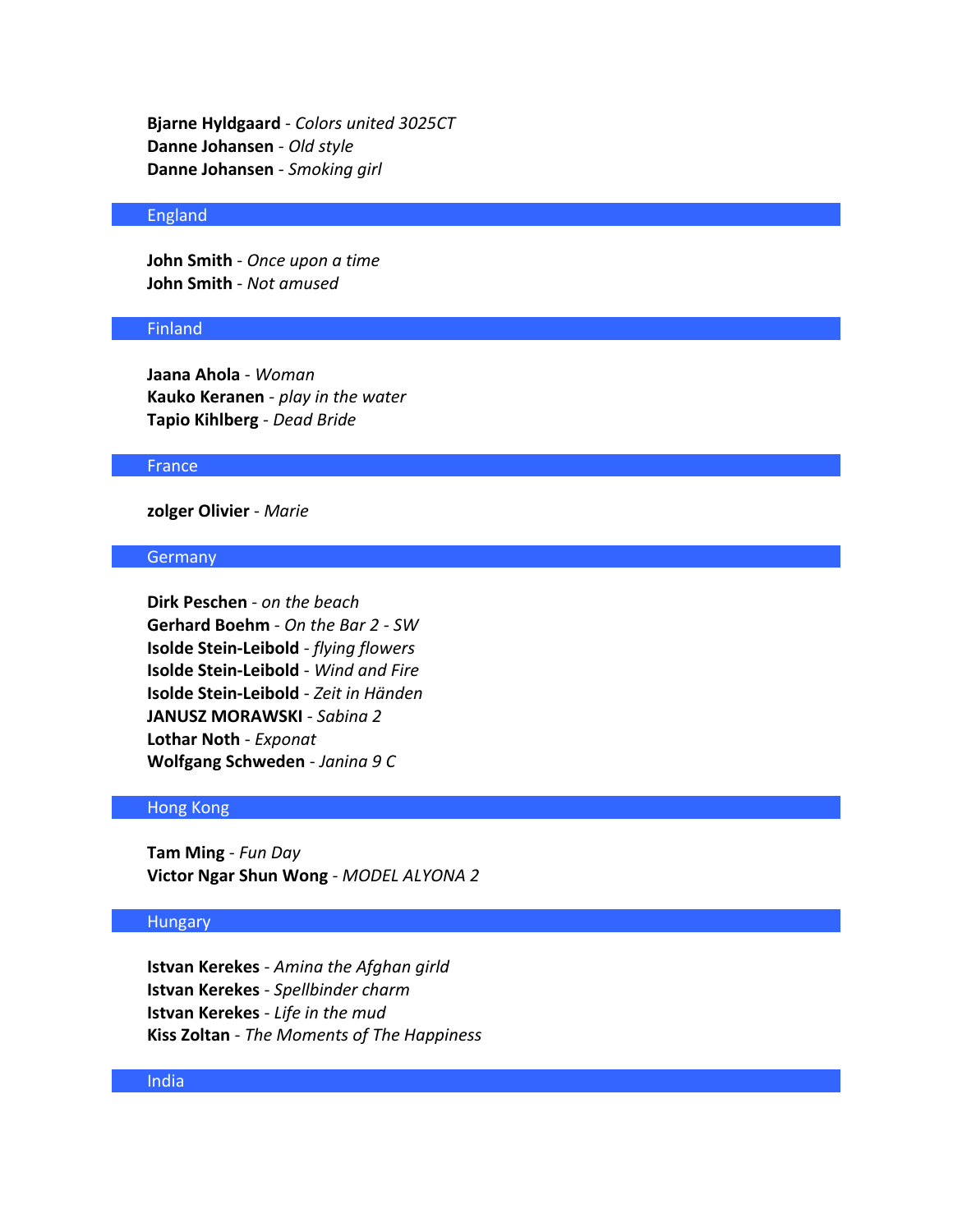**Bjarne Hyldgaard** - *Colors united 3025CT* **Danne Johansen** - *Old style* **Danne Johansen** - *Smoking girl*

### England

**John Smith** - *Once upon a time* **John Smith** - *Not amused*

### Finland

**Jaana Ahola** - *Woman* **Kauko Keranen** - *play in the water* **Tapio Kihlberg** - *Dead Bride*

### France

# **zolger Olivier** - *Marie*

### **Germany**

**Dirk Peschen** - *on the beach* **Gerhard Boehm** - *On the Bar 2 - SW* **Isolde Stein-Leibold** - *flying flowers* **Isolde Stein-Leibold** - *Wind and Fire* **Isolde Stein-Leibold** - *Zeit in Händen* **JANUSZ MORAWSKI** - *Sabina 2* **Lothar Noth** - *Exponat* **Wolfgang Schweden** - *Janina 9 C*

#### Hong Kong

**Tam Ming** - *Fun Day* **Victor Ngar Shun Wong** - *MODEL ALYONA 2*

#### **Hungary**

**Istvan Kerekes** - *Amina the Afghan girld* **Istvan Kerekes** - *Spellbinder charm* **Istvan Kerekes** - *Life in the mud* **Kiss Zoltan** - *The Moments of The Happiness*

### India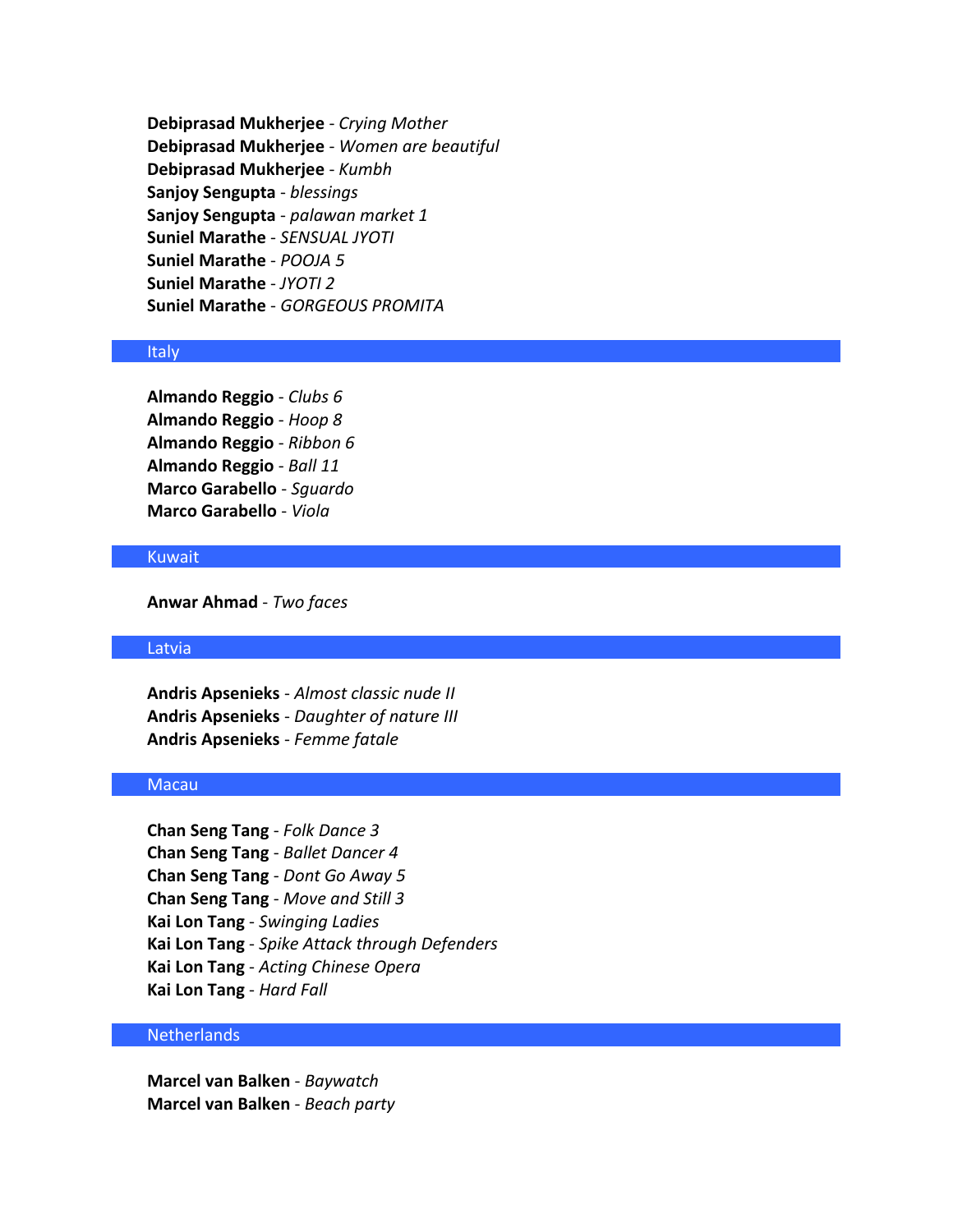**Debiprasad Mukherjee** - *Crying Mother* **Debiprasad Mukherjee** - *Women are beautiful* **Debiprasad Mukherjee** - *Kumbh* **Sanjoy Sengupta** - *blessings* **Sanjoy Sengupta** - *palawan market 1* **Suniel Marathe** - *SENSUAL JYOTI* **Suniel Marathe** - *POOJA 5* **Suniel Marathe** - *JYOTI 2* **Suniel Marathe** - *GORGEOUS PROMITA*

### Italy

**Almando Reggio** - *Clubs 6* **Almando Reggio** - *Hoop 8* **Almando Reggio** - *Ribbon 6* **Almando Reggio** - *Ball 11* **Marco Garabello** - *Sguardo* **Marco Garabello** - *Viola*

# Kuwait

**Anwar Ahmad** - *Two faces*

### Latvia

**Andris Apsenieks** - *Almost classic nude II* **Andris Apsenieks** - *Daughter of nature III* **Andris Apsenieks** - *Femme fatale*

### **Macau**

**Chan Seng Tang** - *Folk Dance 3* **Chan Seng Tang** - *Ballet Dancer 4* **Chan Seng Tang** - *Dont Go Away 5* **Chan Seng Tang** - *Move and Still 3* **Kai Lon Tang** - *Swinging Ladies* **Kai Lon Tang** - *Spike Attack through Defenders* **Kai Lon Tang** - *Acting Chinese Opera* **Kai Lon Tang** - *Hard Fall*

### Netherlands

**Marcel van Balken** - *Baywatch* **Marcel van Balken** - *Beach party*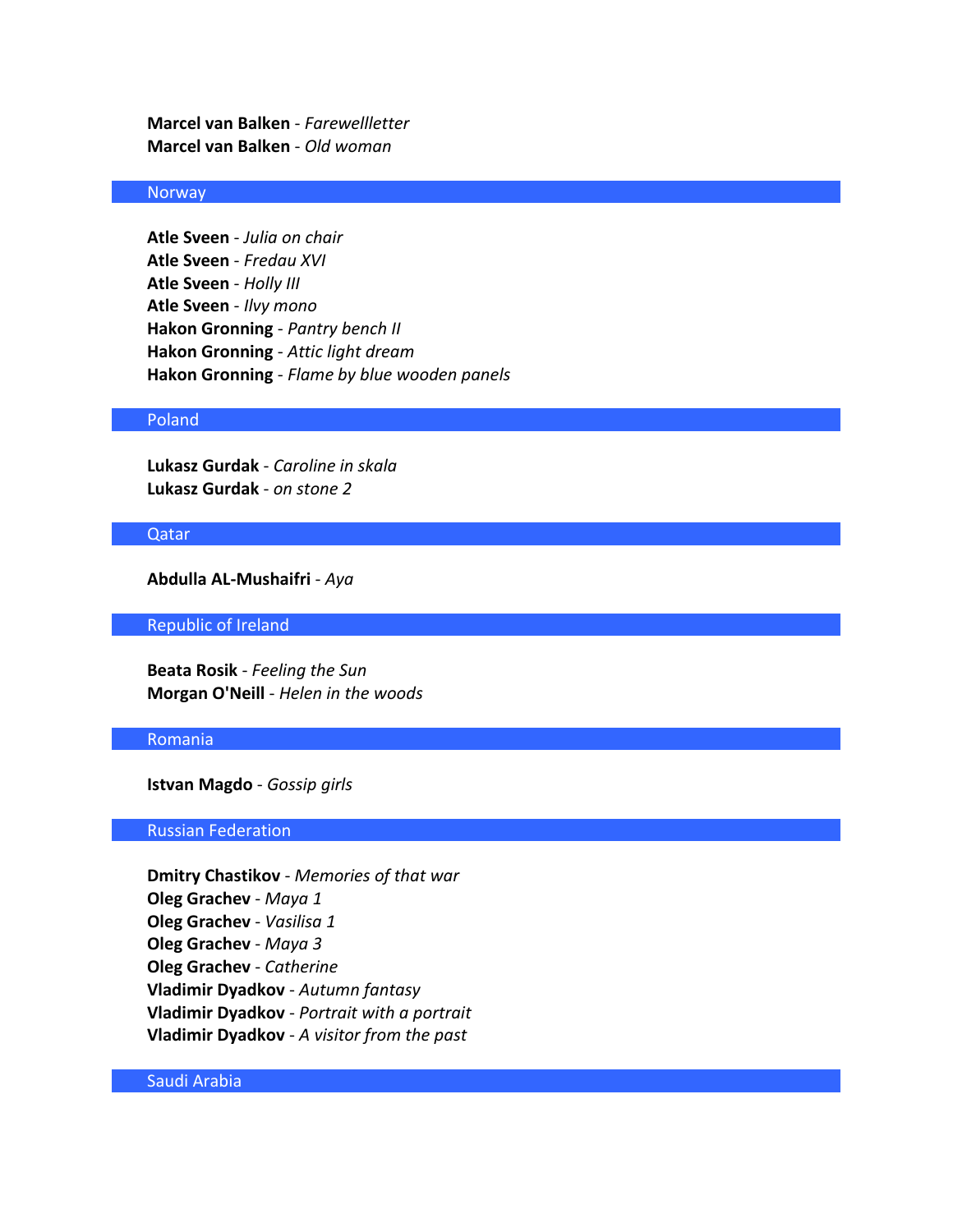**Marcel van Balken** - *Farewellletter* **Marcel van Balken** - *Old woman*

# **Norway**

**Atle Sveen** - *Julia on chair* **Atle Sveen** - *Fredau XVI* **Atle Sveen** - *Holly III* **Atle Sveen** - *Ilvy mono* **Hakon Gronning** - *Pantry bench II* **Hakon Gronning** - *Attic light dream* **Hakon Gronning** - *Flame by blue wooden panels*

### Poland

**Lukasz Gurdak** - *Caroline in skala* **Lukasz Gurdak** - *on stone 2*

#### Qatar

**Abdulla AL-Mushaifri** - *Aya*

Republic of Ireland

**Beata Rosik** - *Feeling the Sun* **Morgan O'Neill** - *Helen in the woods*

#### Romania

**Istvan Magdo** - *Gossip girls*

### Russian Federation

**Dmitry Chastikov** - *Memories of that war* **Oleg Grachev** - *Maya 1* **Oleg Grachev** - *Vasilisa 1* **Oleg Grachev** - *Maya 3* **Oleg Grachev** - *Catherine* **Vladimir Dyadkov** - *Autumn fantasy* **Vladimir Dyadkov** - *Portrait with a portrait* **Vladimir Dyadkov** - *A visitor from the past*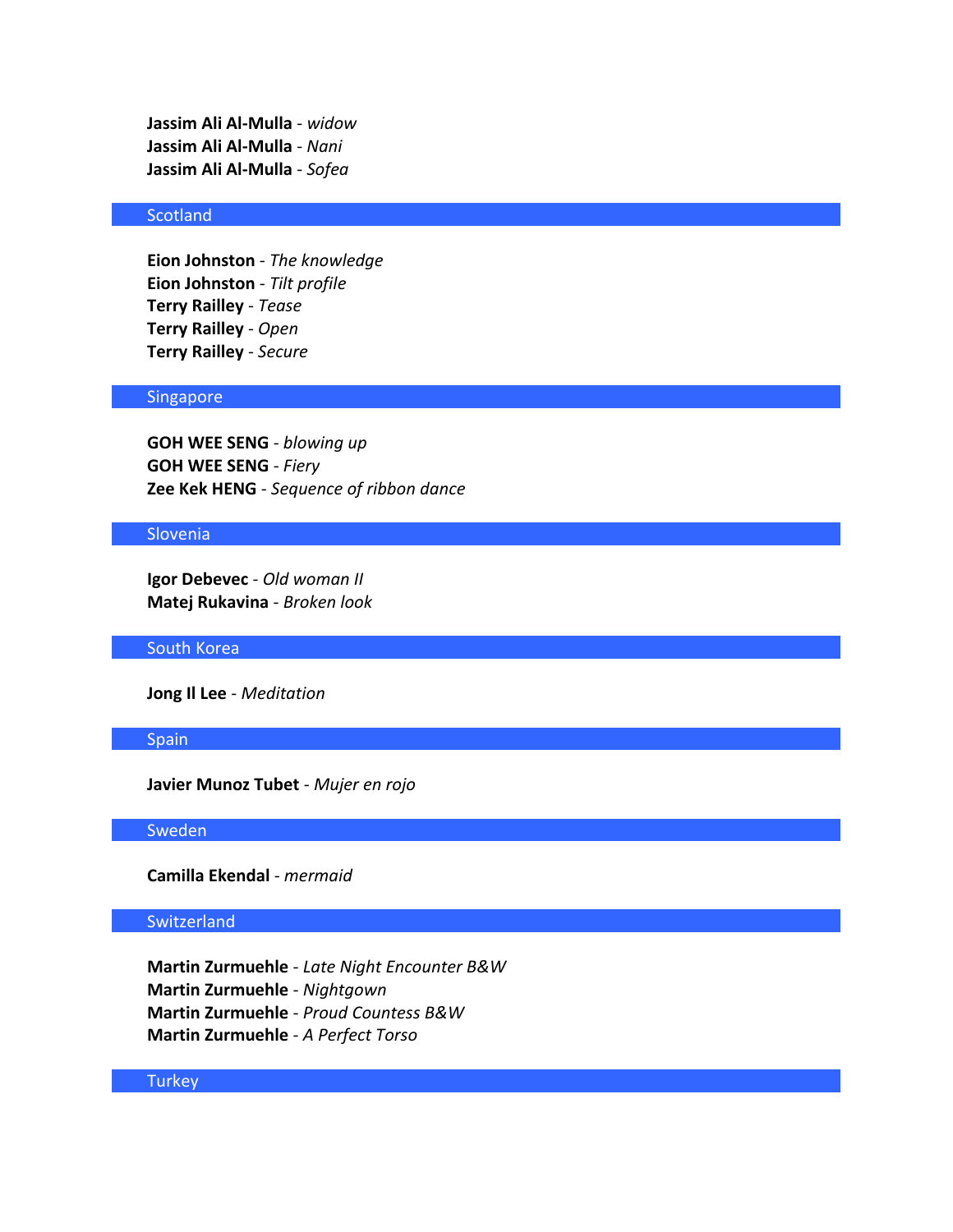**Jassim Ali Al-Mulla** - *widow* **Jassim Ali Al-Mulla** - *Nani* **Jassim Ali Al-Mulla** - *Sofea*

# **Scotland**

**Eion Johnston** - *The knowledge* **Eion Johnston** - *Tilt profile* **Terry Railley** - *Tease* **Terry Railley** - *Open* **Terry Railley** - *Secure*

### Singapore

**GOH WEE SENG** - *blowing up* **GOH WEE SENG** - *Fiery* **Zee Kek HENG** - *Sequence of ribbon dance*

### Slovenia

**Igor Debevec** - *Old woman II* **Matej Rukavina** - *Broken look*

#### South Korea

**Jong Il Lee** - *Meditation*

#### Spain

**Javier Munoz Tubet** - *Mujer en rojo*

### Sweden

**Camilla Ekendal** - *mermaid*

#### **Switzerland**

**Martin Zurmuehle** - *Late Night Encounter B&W* **Martin Zurmuehle** - *Nightgown* **Martin Zurmuehle** - *Proud Countess B&W* **Martin Zurmuehle** - *A Perfect Torso*

# **Turkey**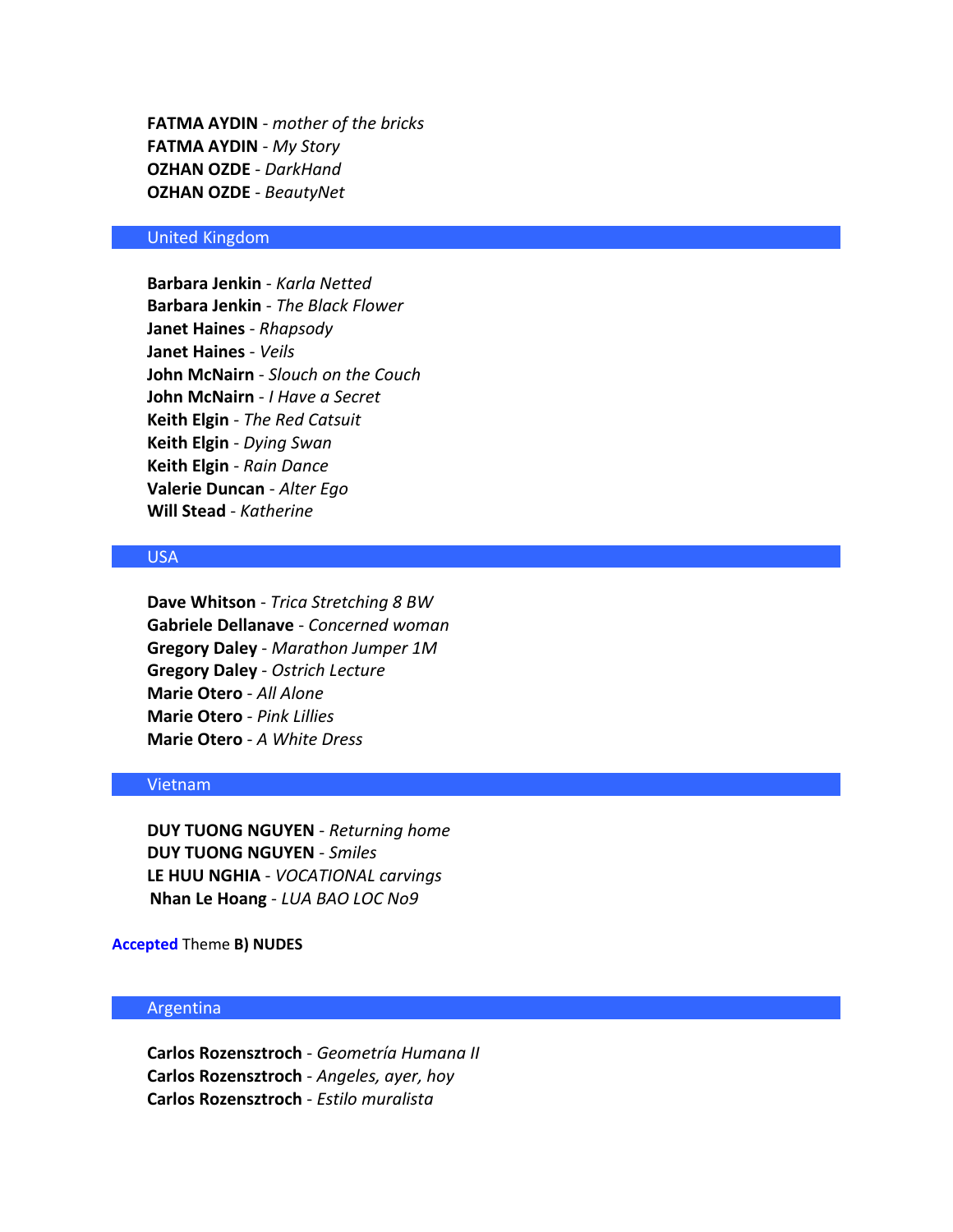**FATMA AYDIN** - *mother of the bricks* **FATMA AYDIN** - *My Story* **OZHAN OZDE** - *DarkHand* **OZHAN OZDE** - *BeautyNet*

### United Kingdom

**Barbara Jenkin** - *Karla Netted* **Barbara Jenkin** - *The Black Flower* **Janet Haines** - *Rhapsody* **Janet Haines** - *Veils* **John McNairn** - *Slouch on the Couch* **John McNairn** - *I Have a Secret* **Keith Elgin** - *The Red Catsuit* **Keith Elgin** - *Dying Swan* **Keith Elgin** - *Rain Dance* **Valerie Duncan** - *Alter Ego* **Will Stead** - *Katherine*

# USA

**Dave Whitson** - *Trica Stretching 8 BW* **Gabriele Dellanave** - *Concerned woman* **Gregory Daley** - *Marathon Jumper 1M* **Gregory Daley** - *Ostrich Lecture* **Marie Otero** - *All Alone* **Marie Otero** - *Pink Lillies* **Marie Otero** - *A White Dress*

### Vietnam

**DUY TUONG NGUYEN** - *Returning home* **DUY TUONG NGUYEN** - *Smiles* **LE HUU NGHIA** - *VOCATIONAL carvings* **Nhan Le Hoang** - *LUA BAO LOC No9*

**Accepted** Theme **B) NUDES**

### Argentina

**Carlos Rozensztroch** - *Geometría Humana II* **Carlos Rozensztroch** - *Angeles, ayer, hoy* **Carlos Rozensztroch** - *Estilo muralista*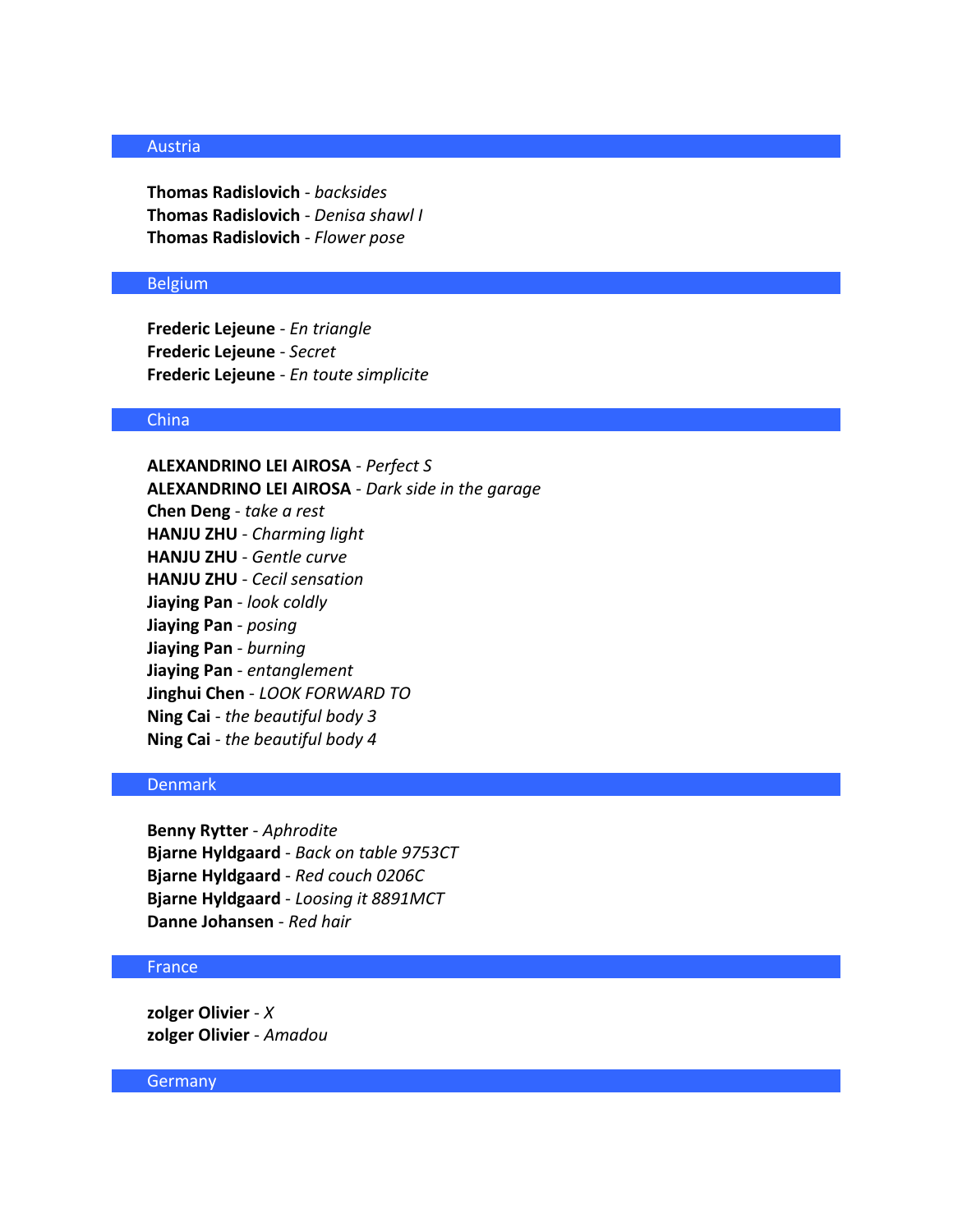### Austria

**Thomas Radislovich** - *backsides* **Thomas Radislovich** - *Denisa shawl I* **Thomas Radislovich** - *Flower pose*

### Belgium

**Frederic Lejeune** - *En triangle* **Frederic Lejeune** - *Secret* **Frederic Lejeune** - *En toute simplicite*

### China

**ALEXANDRINO LEI AIROSA** - *Perfect S* **ALEXANDRINO LEI AIROSA** - *Dark side in the garage* **Chen Deng** - *take a rest* **HANJU ZHU** - *Charming light* **HANJU ZHU** - *Gentle curve* **HANJU ZHU** - *Cecil sensation* **Jiaying Pan** - *look coldly* **Jiaying Pan** - *posing* **Jiaying Pan** - *burning* **Jiaying Pan** - *entanglement* **Jinghui Chen** - *LOOK FORWARD TO* **Ning Cai** - *the beautiful body 3* **Ning Cai** - *the beautiful body 4*

### Denmark

**Benny Rytter** - *Aphrodite* **Bjarne Hyldgaard** - *Back on table 9753CT* **Bjarne Hyldgaard** - *Red couch 0206C* **Bjarne Hyldgaard** - *Loosing it 8891MCT* **Danne Johansen** - *Red hair*

# France

**zolger Olivier** - *X* **zolger Olivier** - *Amadou*

#### **Germany**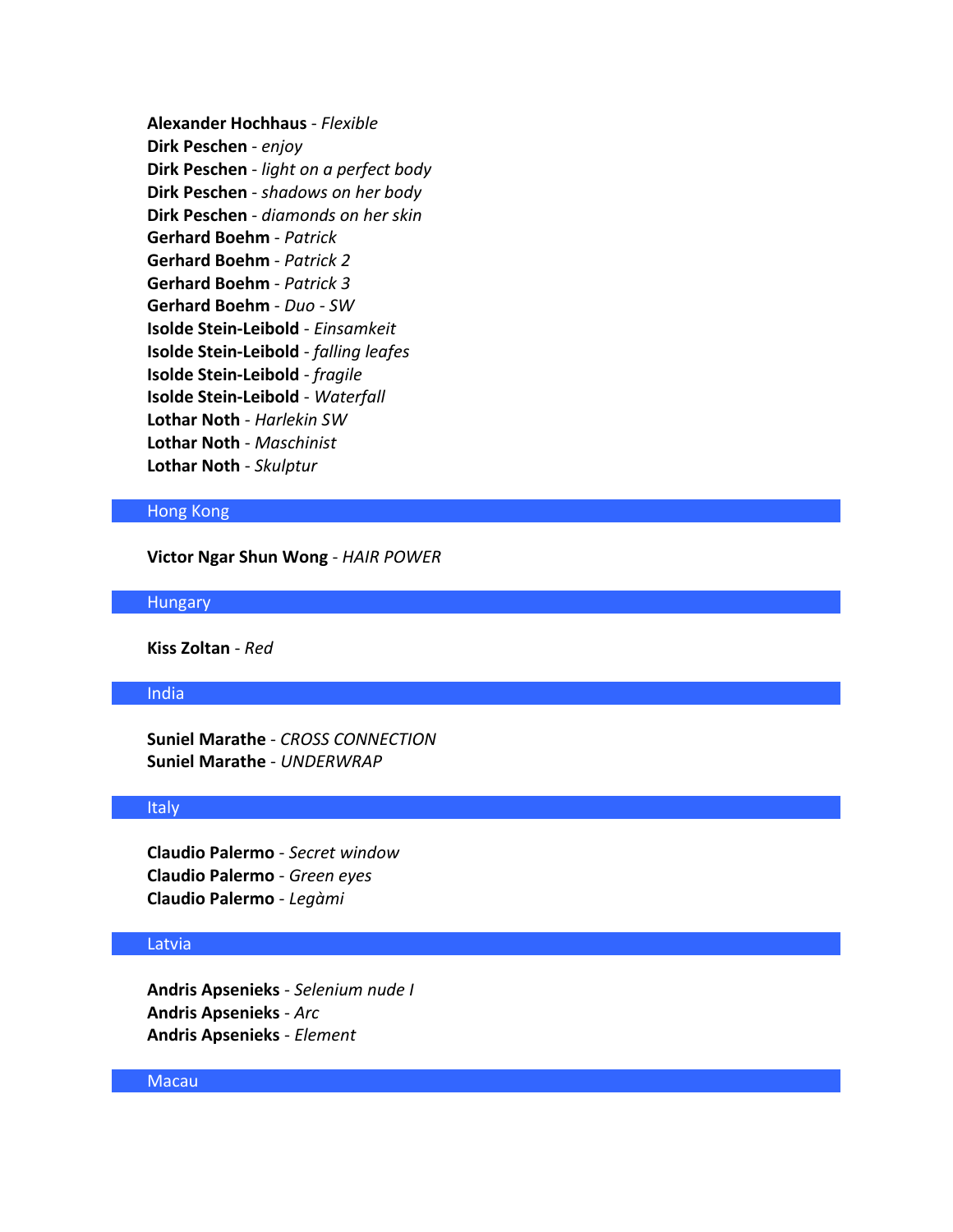**Alexander Hochhaus** - *Flexible* **Dirk Peschen** - *enjoy* **Dirk Peschen** - *light on a perfect body* **Dirk Peschen** - *shadows on her body* **Dirk Peschen** - *diamonds on her skin* **Gerhard Boehm** - *Patrick* **Gerhard Boehm** - *Patrick 2* **Gerhard Boehm** - *Patrick 3* **Gerhard Boehm** - *Duo - SW* **Isolde Stein-Leibold** - *Einsamkeit* **Isolde Stein-Leibold** - *falling leafes* **Isolde Stein-Leibold** - *fragile* **Isolde Stein-Leibold** - *Waterfall* **Lothar Noth** - *Harlekin SW* **Lothar Noth** - *Maschinist* **Lothar Noth** - *Skulptur*

### Hong Kong

**Victor Ngar Shun Wong** - *HAIR POWER*

#### **Hungary**

**Kiss Zoltan** - *Red*

### India

**Suniel Marathe** - *CROSS CONNECTION* **Suniel Marathe** - *UNDERWRAP*

### Italy

**Claudio Palermo** - *Secret window* **Claudio Palermo** - *Green eyes* **Claudio Palermo** - *Legàmi*

### Latvia

**Andris Apsenieks** - *Selenium nude I* **Andris Apsenieks** - *Arc* **Andris Apsenieks** - *Element*

### Macau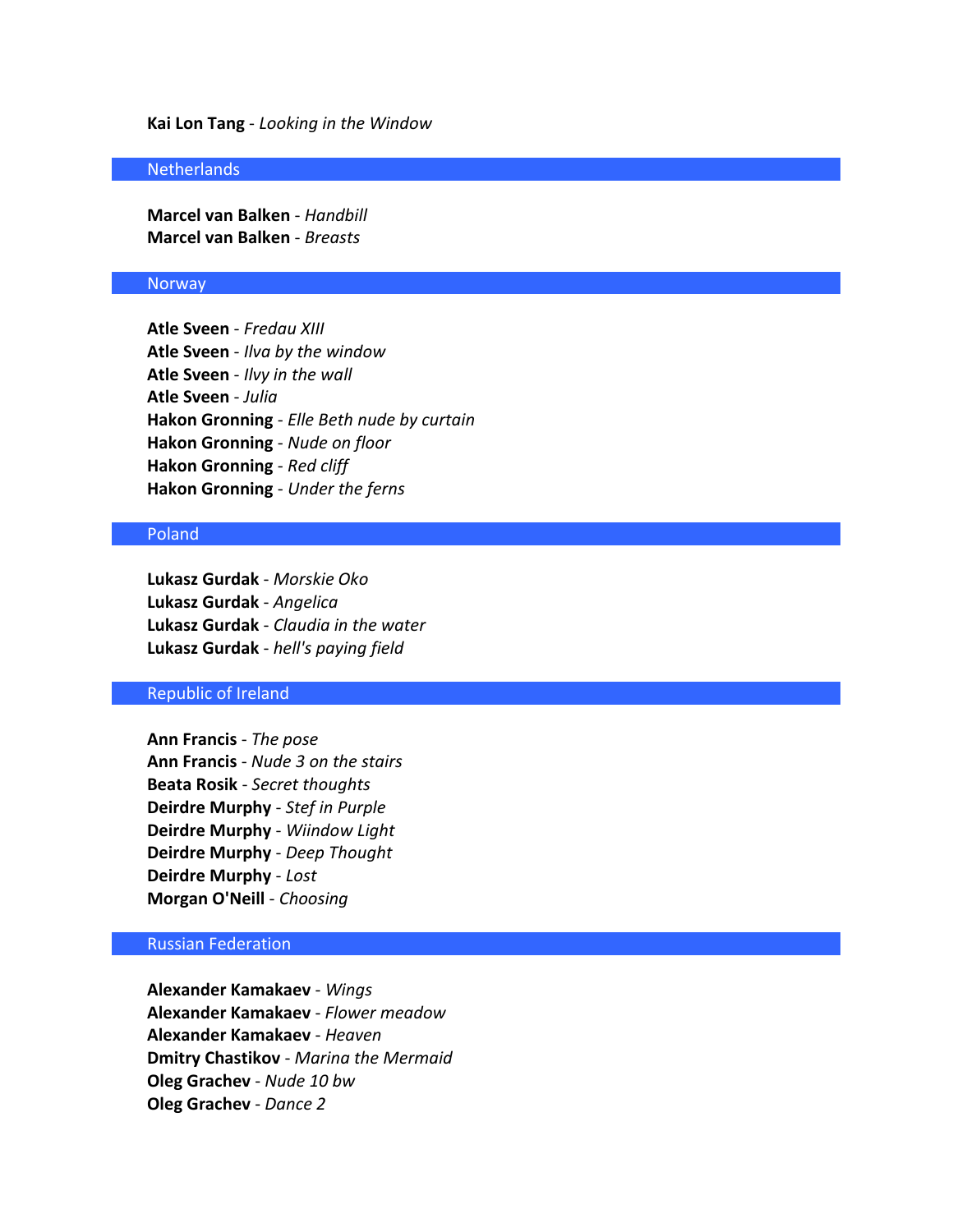#### **Kai Lon Tang** - *Looking in the Window*

#### **Netherlands**

**Marcel van Balken** - *Handbill* **Marcel van Balken** - *Breasts*

#### **Norway**

**Atle Sveen** - *Fredau XIII* **Atle Sveen** - *Ilva by the window* **Atle Sveen** - *Ilvy in the wall* **Atle Sveen** - *Julia* **Hakon Gronning** - *Elle Beth nude by curtain* **Hakon Gronning** - *Nude on floor* **Hakon Gronning** - *Red cliff* **Hakon Gronning** - *Under the ferns*

### Poland

**Lukasz Gurdak** - *Morskie Oko* **Lukasz Gurdak** - *Angelica* **Lukasz Gurdak** - *Claudia in the water* **Lukasz Gurdak** - *hell's paying field*

### Republic of Ireland

**Ann Francis** - *The pose* **Ann Francis** - *Nude 3 on the stairs* **Beata Rosik** - *Secret thoughts* **Deirdre Murphy** - *Stef in Purple* **Deirdre Murphy** - *Wiindow Light* **Deirdre Murphy** - *Deep Thought* **Deirdre Murphy** - *Lost* **Morgan O'Neill** - *Choosing*

### Russian Federation

**Alexander Kamakaev** - *Wings* **Alexander Kamakaev** - *Flower meadow* **Alexander Kamakaev** - *Heaven* **Dmitry Chastikov** - *Marina the Mermaid* **Oleg Grachev** - *Nude 10 bw* **Oleg Grachev** - *Dance 2*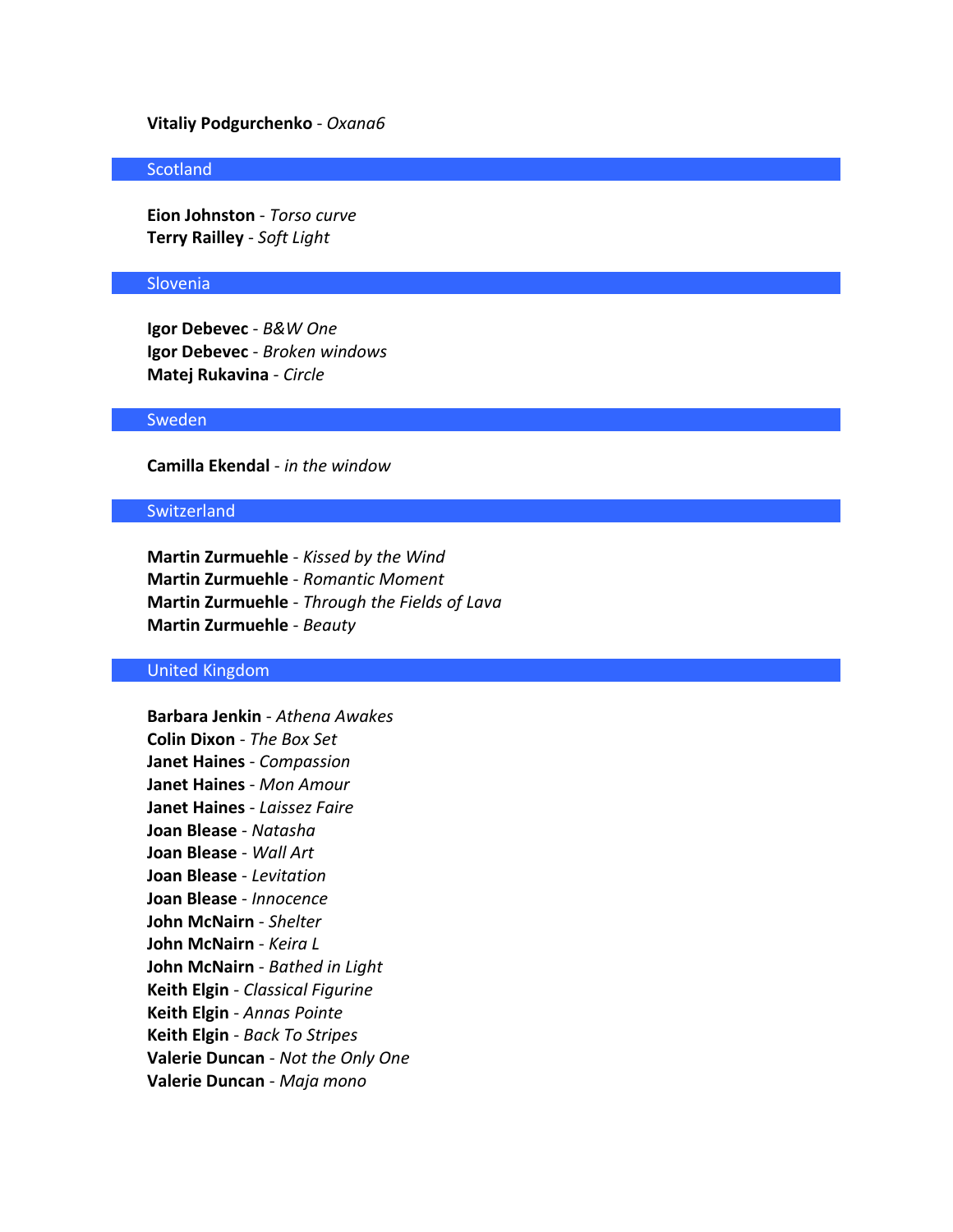### **Vitaliy Podgurchenko** - *Oxana6*

### **Scotland**

**Eion Johnston** - *Torso curve* **Terry Railley** - *Soft Light*

#### Slovenia

**Igor Debevec** - *B&W One* **Igor Debevec** - *Broken windows* **Matej Rukavina** - *Circle*

### Sweden

**Camilla Ekendal** - *in the window*

### **Switzerland**

**Martin Zurmuehle** - *Kissed by the Wind* **Martin Zurmuehle** - *Romantic Moment* **Martin Zurmuehle** - *Through the Fields of Lava* **Martin Zurmuehle** - *Beauty*

### United Kingdom

**Barbara Jenkin** - *Athena Awakes* **Colin Dixon** - *The Box Set* **Janet Haines** - *Compassion* **Janet Haines** - *Mon Amour* **Janet Haines** - *Laissez Faire* **Joan Blease** - *Natasha* **Joan Blease** - *Wall Art* **Joan Blease** - *Levitation* **Joan Blease** - *Innocence* **John McNairn** - *Shelter* **John McNairn** - *Keira L* **John McNairn** - *Bathed in Light* **Keith Elgin** - *Classical Figurine* **Keith Elgin** - *Annas Pointe* **Keith Elgin** - *Back To Stripes* **Valerie Duncan** - *Not the Only One* **Valerie Duncan** - *Maja mono*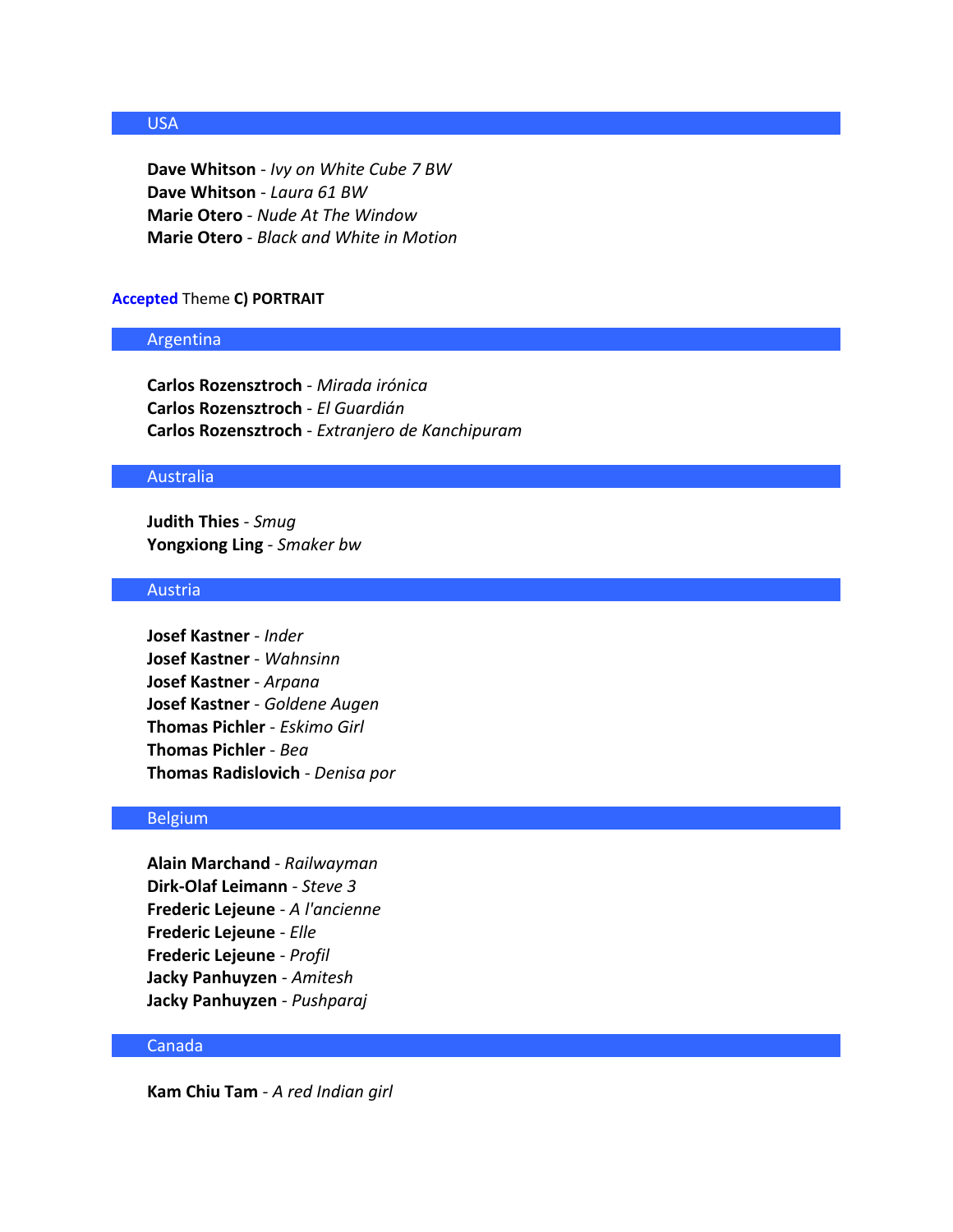# USA

**Dave Whitson** - *Ivy on White Cube 7 BW* **Dave Whitson** - *Laura 61 BW* **Marie Otero** - *Nude At The Window* **Marie Otero** - *Black and White in Motion*

### **Accepted** Theme **C) PORTRAIT**

### Argentina

**Carlos Rozensztroch** - *Mirada irónica* **Carlos Rozensztroch** - *El Guardián* **Carlos Rozensztroch** - *Extranjero de Kanchipuram*

### Australia

**Judith Thies** - *Smug* **Yongxiong Ling** - *Smaker bw*

# Austria

**Josef Kastner** - *Inder* **Josef Kastner** - *Wahnsinn* **Josef Kastner** - *Arpana* **Josef Kastner** - *Goldene Augen* **Thomas Pichler** - *Eskimo Girl* **Thomas Pichler** - *Bea* **Thomas Radislovich** - *Denisa por*

### Belgium

**Alain Marchand** - *Railwayman* **Dirk-Olaf Leimann** - *Steve 3* **Frederic Lejeune** - *A l'ancienne* **Frederic Lejeune** - *Elle* **Frederic Lejeune** - *Profil* **Jacky Panhuyzen** - *Amitesh* **Jacky Panhuyzen** - *Pushparaj*

#### Canada

**Kam Chiu Tam** - *A red Indian girl*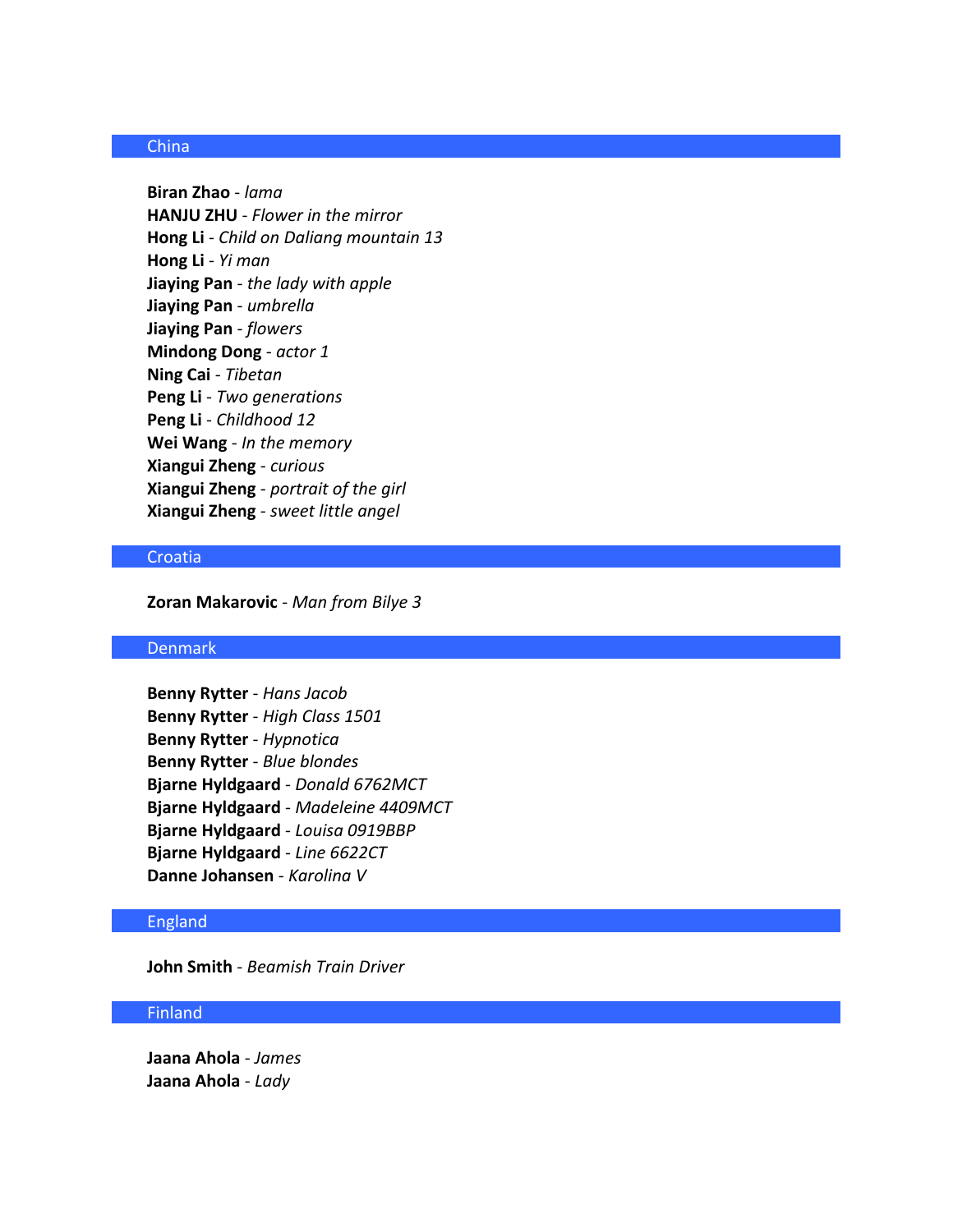# China

**Biran Zhao** - *lama* **HANJU ZHU** - *Flower in the mirror* **Hong Li** - *Child on Daliang mountain 13* **Hong Li** - *Yi man* **Jiaying Pan** - *the lady with apple* **Jiaying Pan** - *umbrella* **Jiaying Pan** - *flowers* **Mindong Dong** - *actor 1* **Ning Cai** - *Tibetan* **Peng Li** - *Two generations* **Peng Li** - *Childhood 12* **Wei Wang** - *In the memory* **Xiangui Zheng** - *curious* **Xiangui Zheng** - *portrait of the girl* **Xiangui Zheng** - *sweet little angel*

# Croatia

**Zoran Makarovic** - *Man from Bilye 3*

### Denmark

**Benny Rytter** - *Hans Jacob* **Benny Rytter** - *High Class 1501* **Benny Rytter** - *Hypnotica* **Benny Rytter** - *Blue blondes* **Bjarne Hyldgaard** - *Donald 6762MCT* **Bjarne Hyldgaard** - *Madeleine 4409MCT* **Bjarne Hyldgaard** - *Louisa 0919BBP* **Bjarne Hyldgaard** - *Line 6622CT* **Danne Johansen** - *Karolina V*

### England

**John Smith** - *Beamish Train Driver*

### Finland

**Jaana Ahola** - *James* **Jaana Ahola** - *Lady*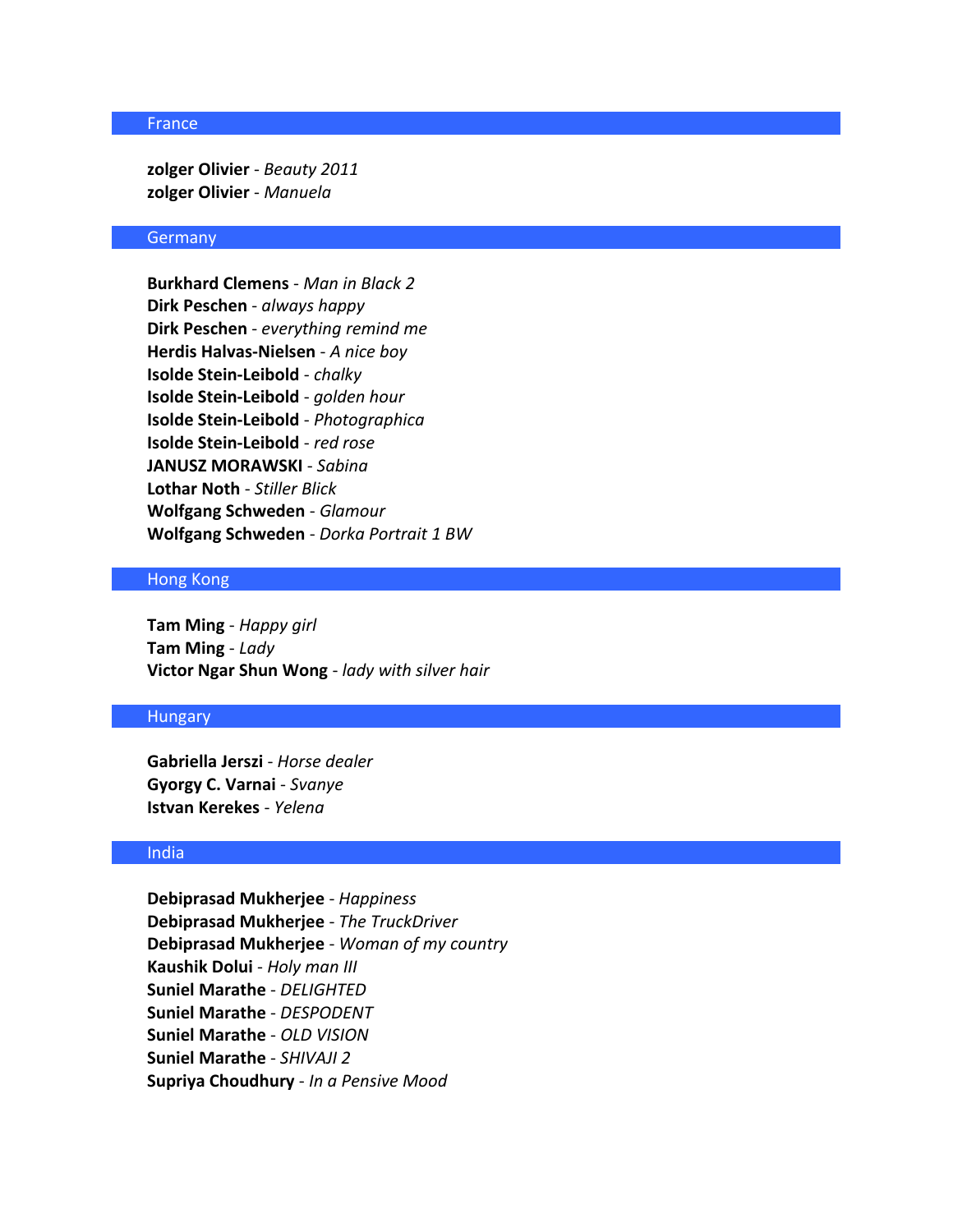### France

**zolger Olivier** - *Beauty 2011* **zolger Olivier** - *Manuela*

### **Germany**

**Burkhard Clemens** - *Man in Black 2* **Dirk Peschen** - *always happy* **Dirk Peschen** - *everything remind me* **Herdis Halvas-Nielsen** - *A nice boy* **Isolde Stein-Leibold** - *chalky* **Isolde Stein-Leibold** - *golden hour* **Isolde Stein-Leibold** - *Photographica* **Isolde Stein-Leibold** - *red rose* **JANUSZ MORAWSKI** - *Sabina* **Lothar Noth** - *Stiller Blick* **Wolfgang Schweden** - *Glamour* **Wolfgang Schweden** - *Dorka Portrait 1 BW*

### Hong Kong

**Tam Ming** - *Happy girl* **Tam Ming** - *Lady* **Victor Ngar Shun Wong** - *lady with silver hair*

### **Hungary**

**Gabriella Jerszi** - *Horse dealer* **Gyorgy C. Varnai** - *Svanye* **Istvan Kerekes** - *Yelena*

### India

**Debiprasad Mukherjee** - *Happiness* **Debiprasad Mukherjee** - *The TruckDriver* **Debiprasad Mukherjee** - *Woman of my country* **Kaushik Dolui** - *Holy man III* **Suniel Marathe** - *DELIGHTED* **Suniel Marathe** - *DESPODENT* **Suniel Marathe** - *OLD VISION* **Suniel Marathe** - *SHIVAJI 2* **Supriya Choudhury** - *In a Pensive Mood*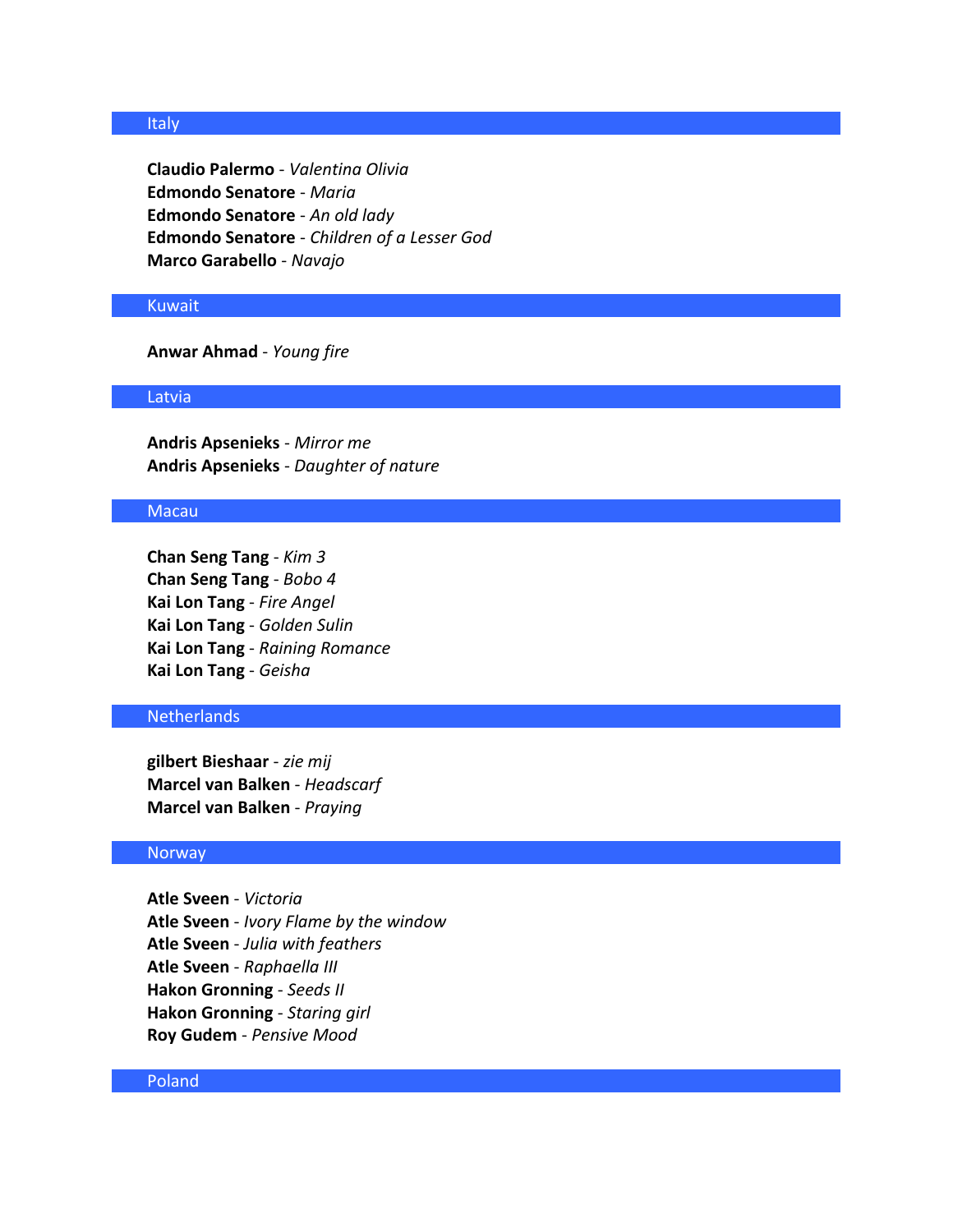### **Italy**

**Claudio Palermo** - *Valentina Olivia* **Edmondo Senatore** - *Maria* **Edmondo Senatore** - *An old lady* **Edmondo Senatore** - *Children of a Lesser God* **Marco Garabello** - *Navajo*

### Kuwait

**Anwar Ahmad** - *Young fire*

#### Latvia

**Andris Apsenieks** - *Mirror me* **Andris Apsenieks** - *Daughter of nature*

### Macau

**Chan Seng Tang** - *Kim 3* **Chan Seng Tang** - *Bobo 4* **Kai Lon Tang** - *Fire Angel* **Kai Lon Tang** - *Golden Sulin* **Kai Lon Tang** - *Raining Romance* **Kai Lon Tang** - *Geisha*

### **Netherlands**

**gilbert Bieshaar** - *zie mij* **Marcel van Balken** - *Headscarf* **Marcel van Balken** - *Praying*

#### **Norway**

**Atle Sveen** - *Victoria* **Atle Sveen** - *Ivory Flame by the window* **Atle Sveen** - *Julia with feathers* **Atle Sveen** - *Raphaella III* **Hakon Gronning** - *Seeds II* **Hakon Gronning** - *Staring girl* **Roy Gudem** - *Pensive Mood*

### Poland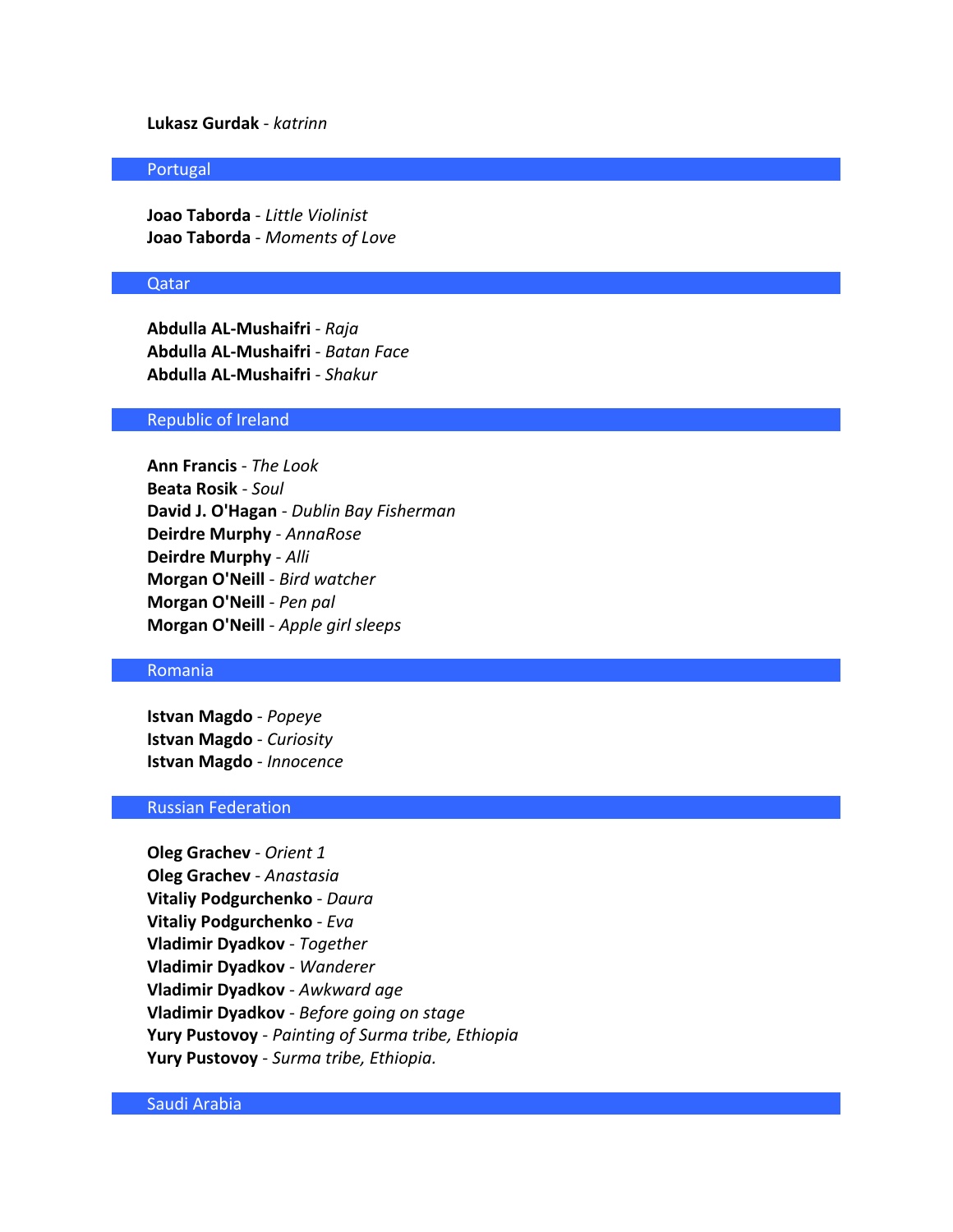# **Lukasz Gurdak** - *katrinn*

#### Portugal

**Joao Taborda** - *Little Violinist* **Joao Taborda** - *Moments of Love*

#### Qatar

**Abdulla AL-Mushaifri** - *Raja* **Abdulla AL-Mushaifri** - *Batan Face* **Abdulla AL-Mushaifri** - *Shakur*

### Republic of Ireland

**Ann Francis** - *The Look* **Beata Rosik** - *Soul* **David J. O'Hagan** - *Dublin Bay Fisherman* **Deirdre Murphy** - *AnnaRose* **Deirdre Murphy** - *Alli* **Morgan O'Neill** - *Bird watcher* **Morgan O'Neill** - *Pen pal* **Morgan O'Neill** - *Apple girl sleeps*

### Romania

**Istvan Magdo** - *Popeye* **Istvan Magdo** - *Curiosity* **Istvan Magdo** - *Innocence*

### Russian Federation

**Oleg Grachev** - *Orient 1* **Oleg Grachev** - *Anastasia* **Vitaliy Podgurchenko** - *Daura* **Vitaliy Podgurchenko** - *Eva* **Vladimir Dyadkov** - *Together* **Vladimir Dyadkov** - *Wanderer* **Vladimir Dyadkov** - *Awkward age* **Vladimir Dyadkov** - *Before going on stage* **Yury Pustovoy** - *Painting of Surma tribe, Ethiopia* **Yury Pustovoy** - *Surma tribe, Ethiopia.*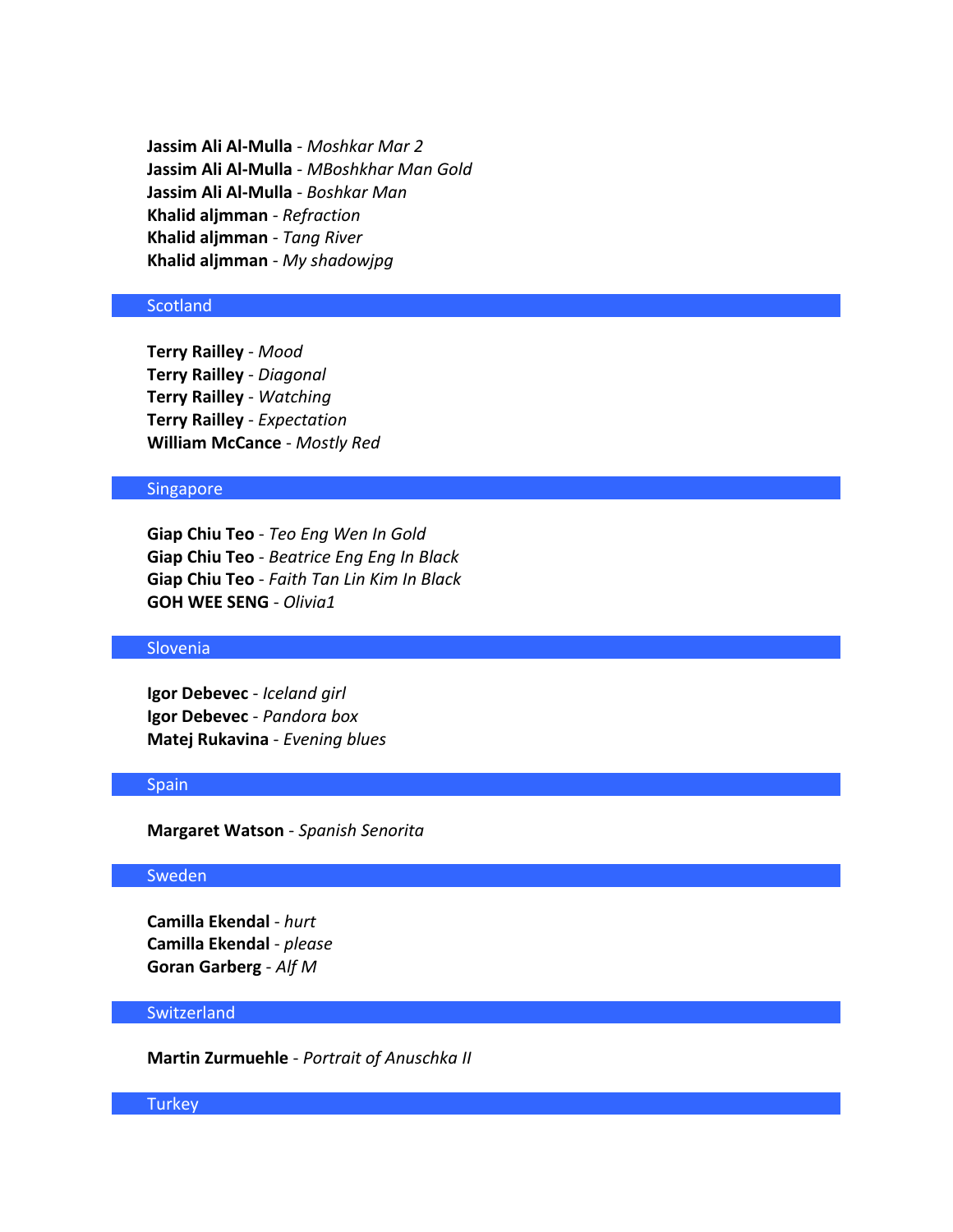**Jassim Ali Al-Mulla** - *Moshkar Mar 2* **Jassim Ali Al-Mulla** - *MBoshkhar Man Gold* **Jassim Ali Al-Mulla** - *Boshkar Man* **Khalid aljmman** - *Refraction* **Khalid aljmman** - *Tang River* **Khalid aljmman** - *My shadowjpg*

### **Scotland**

**Terry Railley** - *Mood* **Terry Railley** - *Diagonal* **Terry Railley** - *Watching* **Terry Railley** - *Expectation* **William McCance** - *Mostly Red*

### Singapore

**Giap Chiu Teo** - *Teo Eng Wen In Gold* **Giap Chiu Teo** - *Beatrice Eng Eng In Black* **Giap Chiu Teo** - *Faith Tan Lin Kim In Black* **GOH WEE SENG** - *Olivia1*

### Slovenia

**Igor Debevec** - *Iceland girl* **Igor Debevec** - *Pandora box* **Matej Rukavina** - *Evening blues*

### Spain

**Margaret Watson** - *Spanish Senorita*

### Sweden

**Camilla Ekendal** - *hurt* **Camilla Ekendal** - *please* **Goran Garberg** - *Alf M*

### **Switzerland**

**Martin Zurmuehle** - *Portrait of Anuschka II*

#### **Turkey**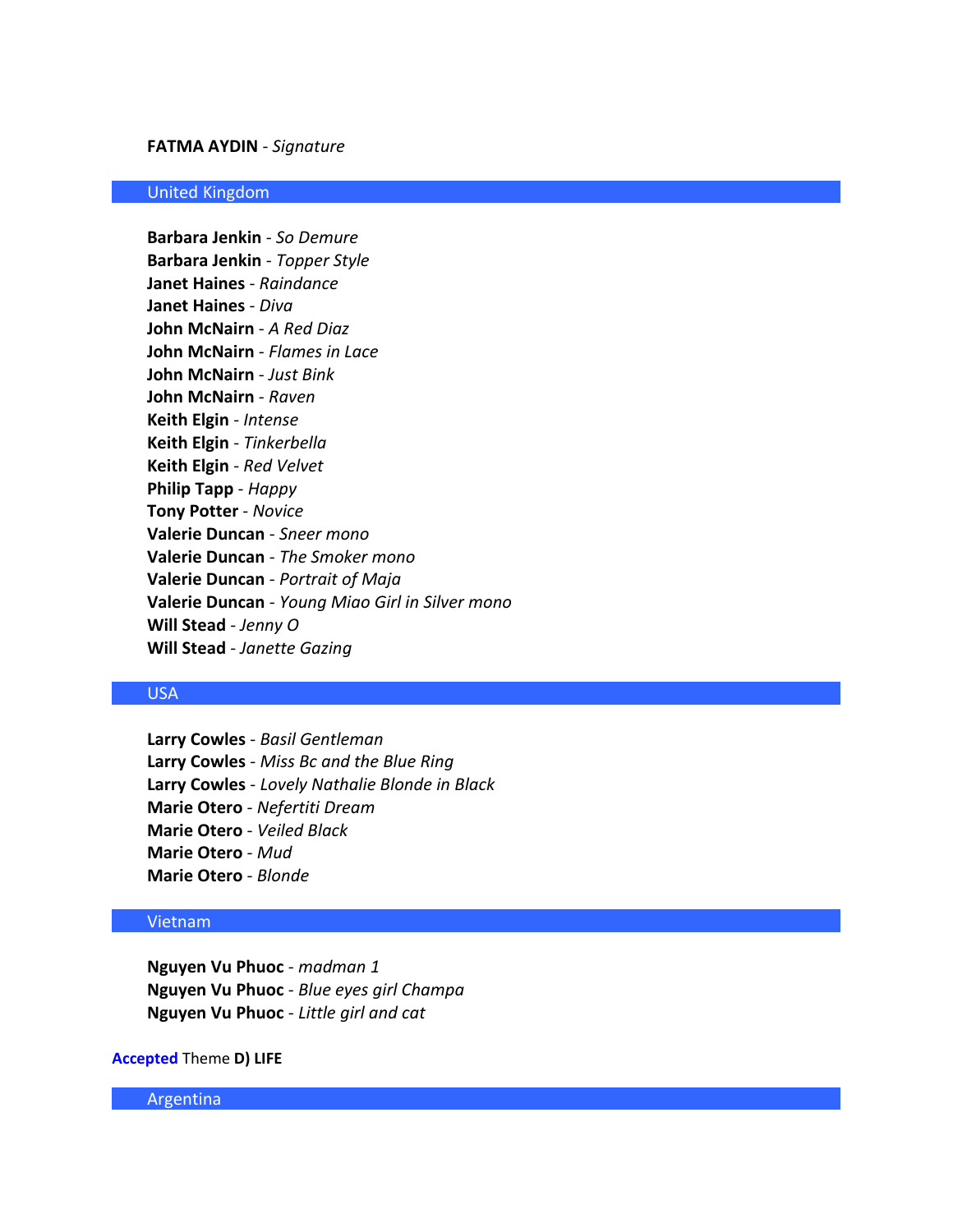### **FATMA AYDIN** - *Signature*

#### United Kingdom

**Barbara Jenkin** - *So Demure* **Barbara Jenkin** - *Topper Style* **Janet Haines** - *Raindance* **Janet Haines** - *Diva* **John McNairn** - *A Red Diaz* **John McNairn** - *Flames in Lace* **John McNairn** - *Just Bink* **John McNairn** - *Raven* **Keith Elgin** - *Intense* **Keith Elgin** - *Tinkerbella* **Keith Elgin** - *Red Velvet* **Philip Tapp** - *Happy* **Tony Potter** - *Novice* **Valerie Duncan** - *Sneer mono* **Valerie Duncan** - *The Smoker mono* **Valerie Duncan** - *Portrait of Maja* **Valerie Duncan** - *Young Miao Girl in Silver mono* **Will Stead** - *Jenny O* **Will Stead** - *Janette Gazing*

### USA

**Larry Cowles** - *Basil Gentleman* **Larry Cowles** - *Miss Bc and the Blue Ring* **Larry Cowles** - *Lovely Nathalie Blonde in Black* **Marie Otero** - *Nefertiti Dream* **Marie Otero** - *Veiled Black* **Marie Otero** - *Mud* **Marie Otero** - *Blonde*

#### Vietnam

**Nguyen Vu Phuoc** - *madman 1* **Nguyen Vu Phuoc** - *Blue eyes girl Champa* **Nguyen Vu Phuoc** - *Little girl and cat*

### **Accepted** Theme **D) LIFE**

Argentina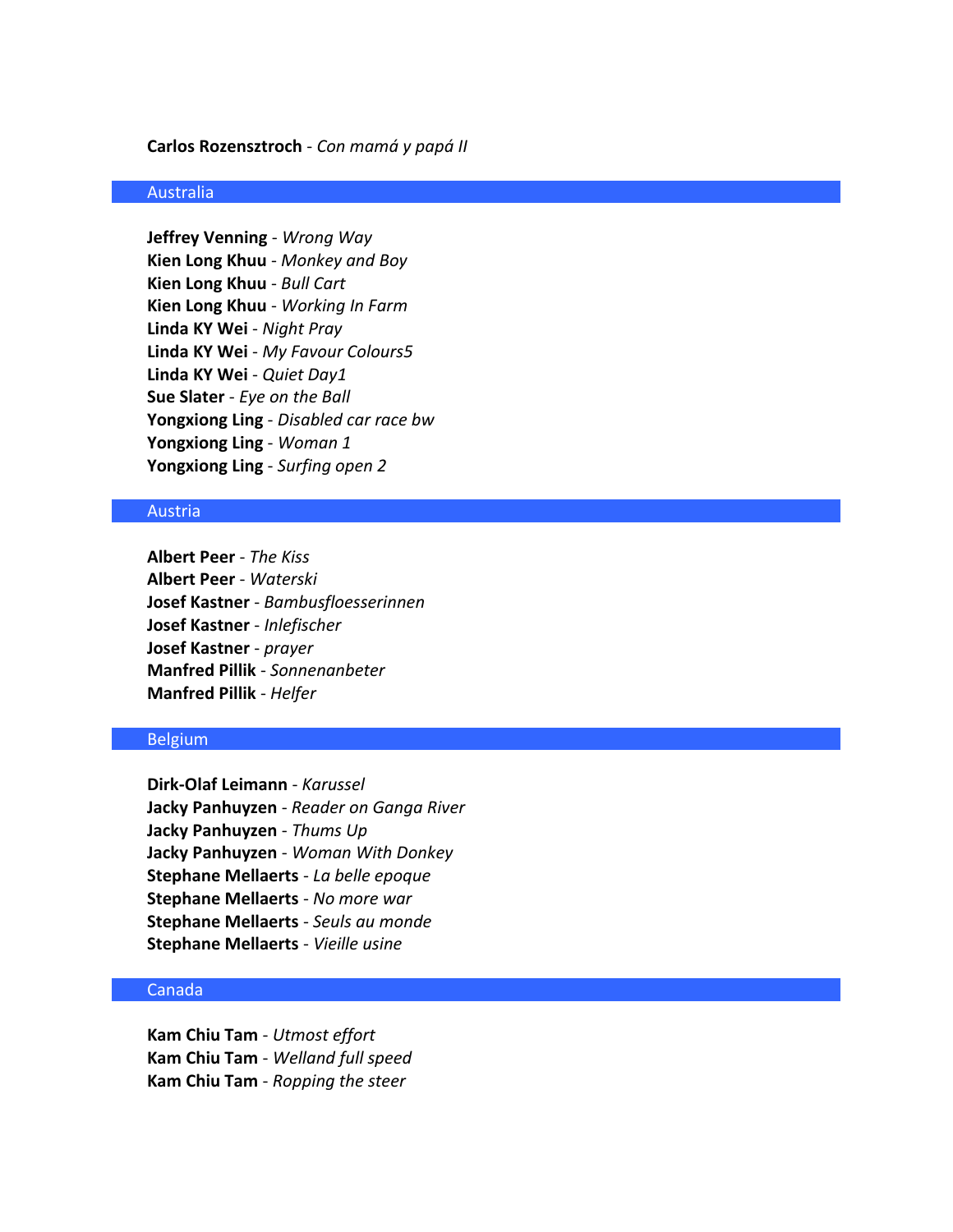### **Carlos Rozensztroch** - *Con mamá y papá II*

### Australia

**Jeffrey Venning** - *Wrong Way* **Kien Long Khuu** - *Monkey and Boy* **Kien Long Khuu** - *Bull Cart* **Kien Long Khuu** - *Working In Farm* **Linda KY Wei** - *Night Pray* **Linda KY Wei** - *My Favour Colours5* **Linda KY Wei** - *Quiet Day1* **Sue Slater** - *Eye on the Ball* **Yongxiong Ling** - *Disabled car race bw* **Yongxiong Ling** - *Woman 1* **Yongxiong Ling** - *Surfing open 2*

#### Austria

**Albert Peer** - *The Kiss* **Albert Peer** - *Waterski* **Josef Kastner** - *Bambusfloesserinnen* **Josef Kastner** - *Inlefischer* **Josef Kastner** - *prayer* **Manfred Pillik** - *Sonnenanbeter* **Manfred Pillik** - *Helfer*

#### Belgium

**Dirk-Olaf Leimann** - *Karussel* **Jacky Panhuyzen** - *Reader on Ganga River* **Jacky Panhuyzen** - *Thums Up* **Jacky Panhuyzen** - *Woman With Donkey* **Stephane Mellaerts** - *La belle epoque* **Stephane Mellaerts** - *No more war* **Stephane Mellaerts** - *Seuls au monde* **Stephane Mellaerts** - *Vieille usine*

### Canada

**Kam Chiu Tam** - *Utmost effort* **Kam Chiu Tam** - *Welland full speed* **Kam Chiu Tam** - *Ropping the steer*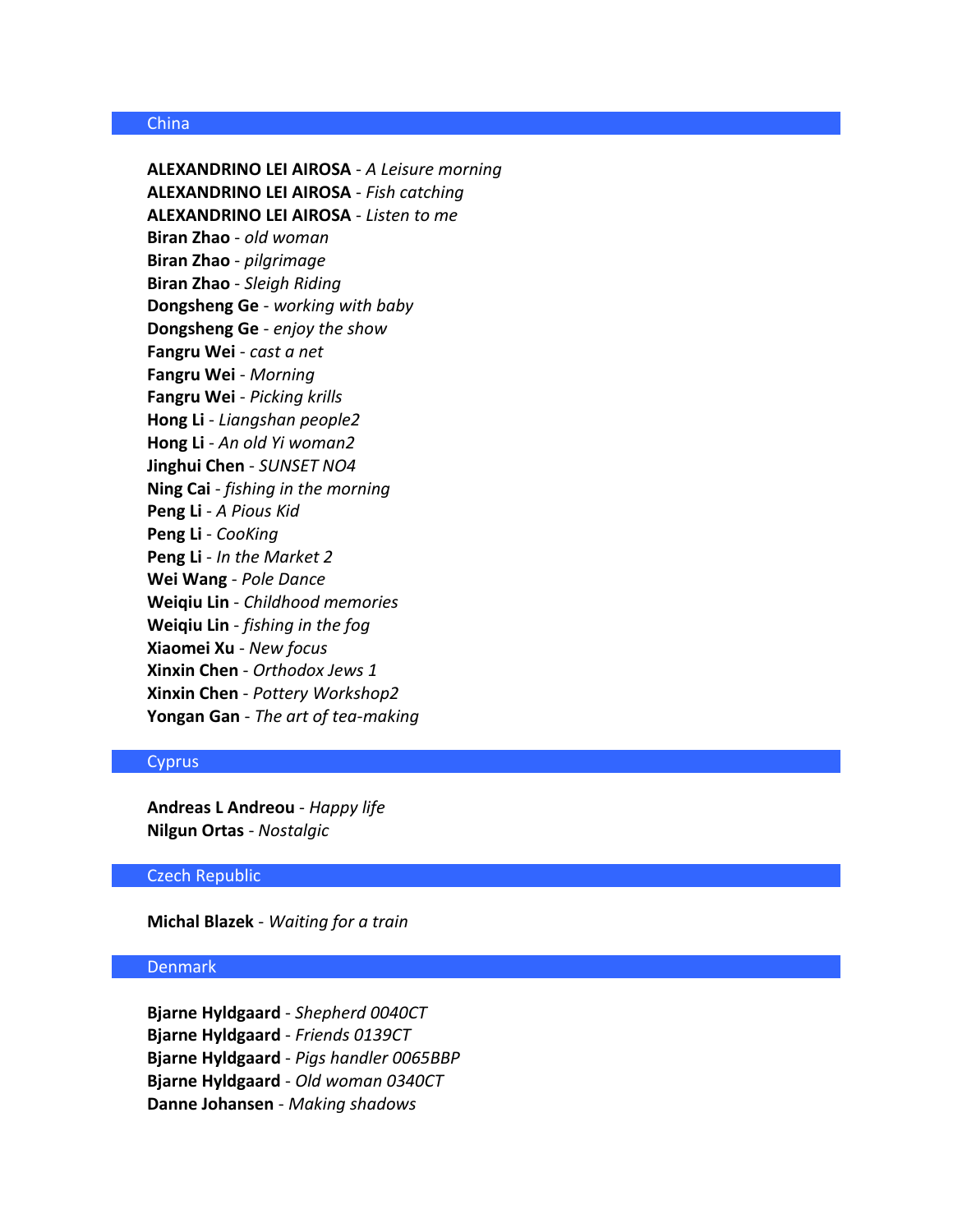### China

**ALEXANDRINO LEI AIROSA** - *A Leisure morning* **ALEXANDRINO LEI AIROSA** - *Fish catching* **ALEXANDRINO LEI AIROSA** - *Listen to me* **Biran Zhao** - *old woman* **Biran Zhao** - *pilgrimage* **Biran Zhao** - *Sleigh Riding* **Dongsheng Ge** - *working with baby* **Dongsheng Ge** - *enjoy the show* **Fangru Wei** - *cast a net* **Fangru Wei** - *Morning* **Fangru Wei** - *Picking krills* **Hong Li** - *Liangshan people2* **Hong Li** - *An old Yi woman2* **Jinghui Chen** - *SUNSET NO4* **Ning Cai** - *fishing in the morning* **Peng Li** - *A Pious Kid* **Peng Li** - *CooKing* **Peng Li** - *In the Market 2* **Wei Wang** - *Pole Dance* **Weiqiu Lin** - *Childhood memories* **Weiqiu Lin** - *fishing in the fog* **Xiaomei Xu** - *New focus* **Xinxin Chen** - *Orthodox Jews 1* **Xinxin Chen** - *Pottery Workshop2* **Yongan Gan** - *The art of tea-making*

# **Cyprus**

**Andreas L Andreou** - *Happy life* **Nilgun Ortas** - *Nostalgic*

### Czech Republic

**Michal Blazek** - *Waiting for a train*

### Denmark

**Bjarne Hyldgaard** - *Shepherd 0040CT* **Bjarne Hyldgaard** - *Friends 0139CT* **Bjarne Hyldgaard** - *Pigs handler 0065BBP* **Bjarne Hyldgaard** - *Old woman 0340CT* **Danne Johansen** - *Making shadows*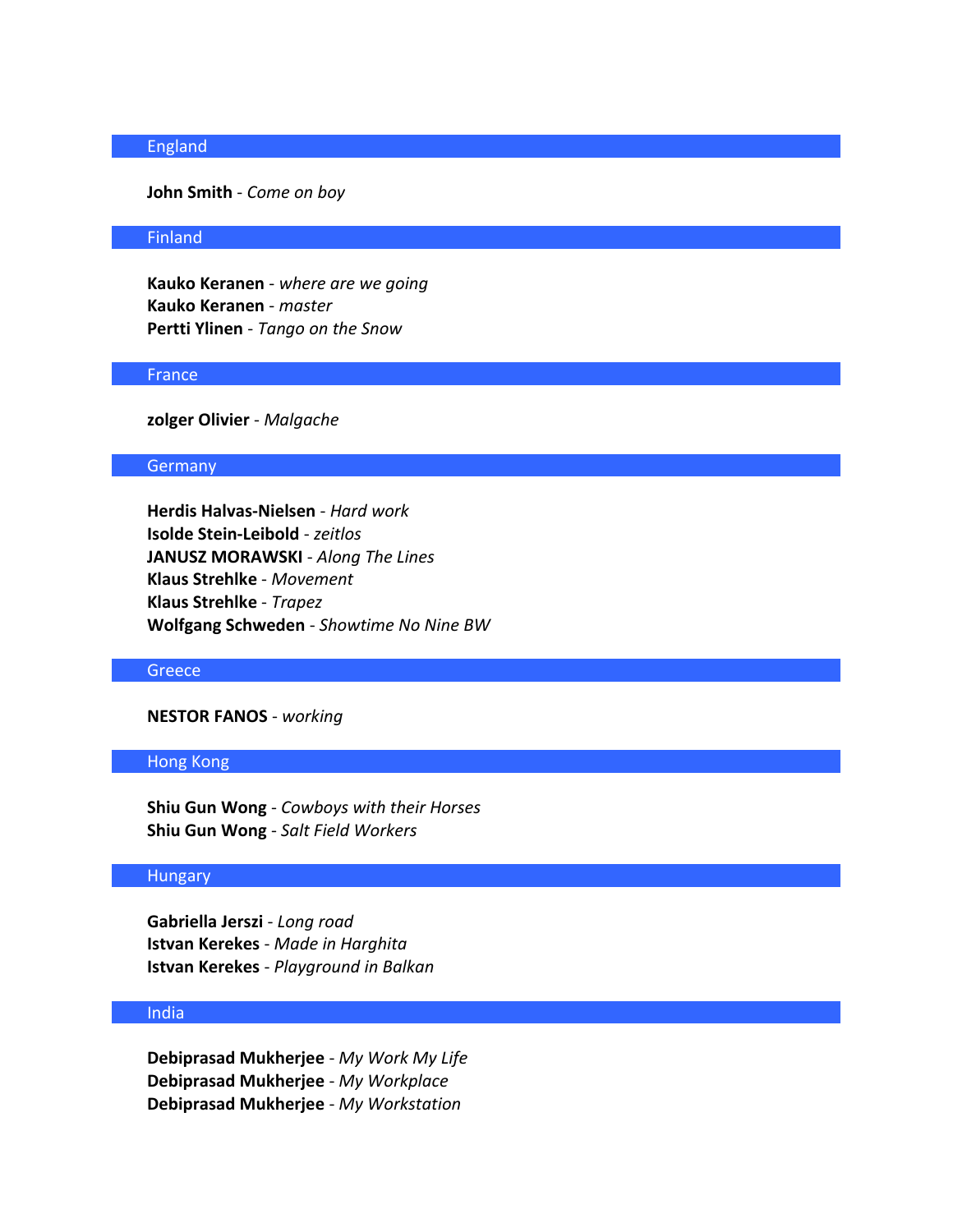# England

# **John Smith** - *Come on boy*

#### Finland

**Kauko Keranen** - *where are we going* **Kauko Keranen** - *master* **Pertti Ylinen** - *Tango on the Snow*

### **France**

**zolger Olivier** - *Malgache*

### **Germany**

**Herdis Halvas-Nielsen** - *Hard work* **Isolde Stein-Leibold** - *zeitlos* **JANUSZ MORAWSKI** - *Along The Lines* **Klaus Strehlke** - *Movement* **Klaus Strehlke** - *Trapez* **Wolfgang Schweden** - *Showtime No Nine BW*

### **Greece**

### **NESTOR FANOS** - *working*

# Hong Kong

**Shiu Gun Wong** - *Cowboys with their Horses* **Shiu Gun Wong** - *Salt Field Workers*

#### Hungary

**Gabriella Jerszi** - *Long road* **Istvan Kerekes** - *Made in Harghita* **Istvan Kerekes** - *Playground in Balkan*

### India

**Debiprasad Mukherjee** - *My Work My Life* **Debiprasad Mukherjee** - *My Workplace* **Debiprasad Mukherjee** - *My Workstation*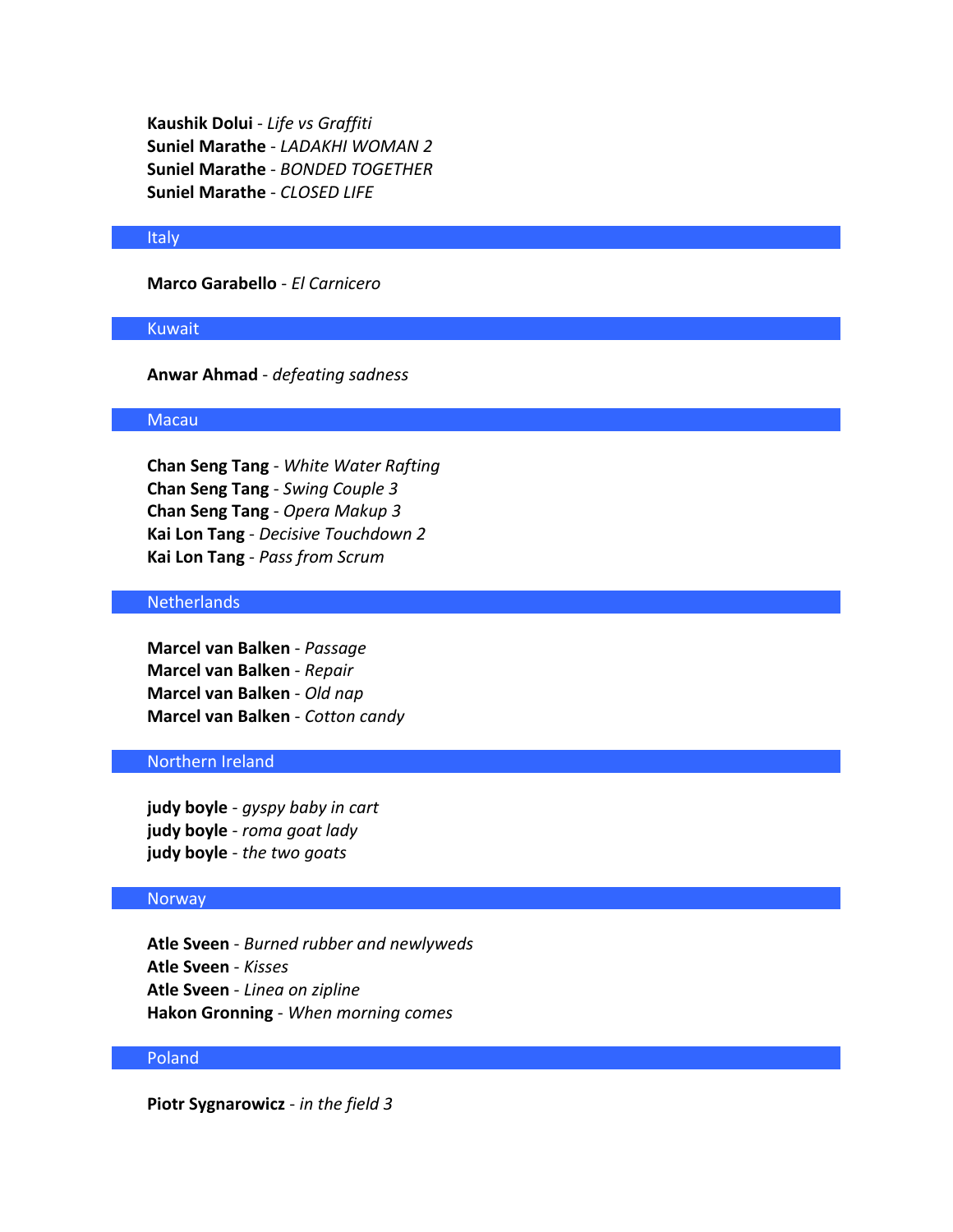**Kaushik Dolui** - *Life vs Graffiti* **Suniel Marathe** - *LADAKHI WOMAN 2* **Suniel Marathe** - *BONDED TOGETHER* **Suniel Marathe** - *CLOSED LIFE*

#### Italy

**Marco Garabello** - *El Carnicero*

### Kuwait

**Anwar Ahmad** - *defeating sadness*

### Macau

**Chan Seng Tang** - *White Water Rafting* **Chan Seng Tang** - *Swing Couple 3* **Chan Seng Tang** - *Opera Makup 3* **Kai Lon Tang** - *Decisive Touchdown 2* **Kai Lon Tang** - *Pass from Scrum*

### Netherlands

**Marcel van Balken** - *Passage* **Marcel van Balken** - *Repair* **Marcel van Balken** - *Old nap* **Marcel van Balken** - *Cotton candy*

# Northern Ireland

**judy boyle** - *gyspy baby in cart* **judy boyle** - *roma goat lady* **judy boyle** - *the two goats*

#### **Norway**

**Atle Sveen** - *Burned rubber and newlyweds* **Atle Sveen** - *Kisses* **Atle Sveen** - *Linea on zipline* **Hakon Gronning** - *When morning comes*

### Poland

**Piotr Sygnarowicz** - *in the field 3*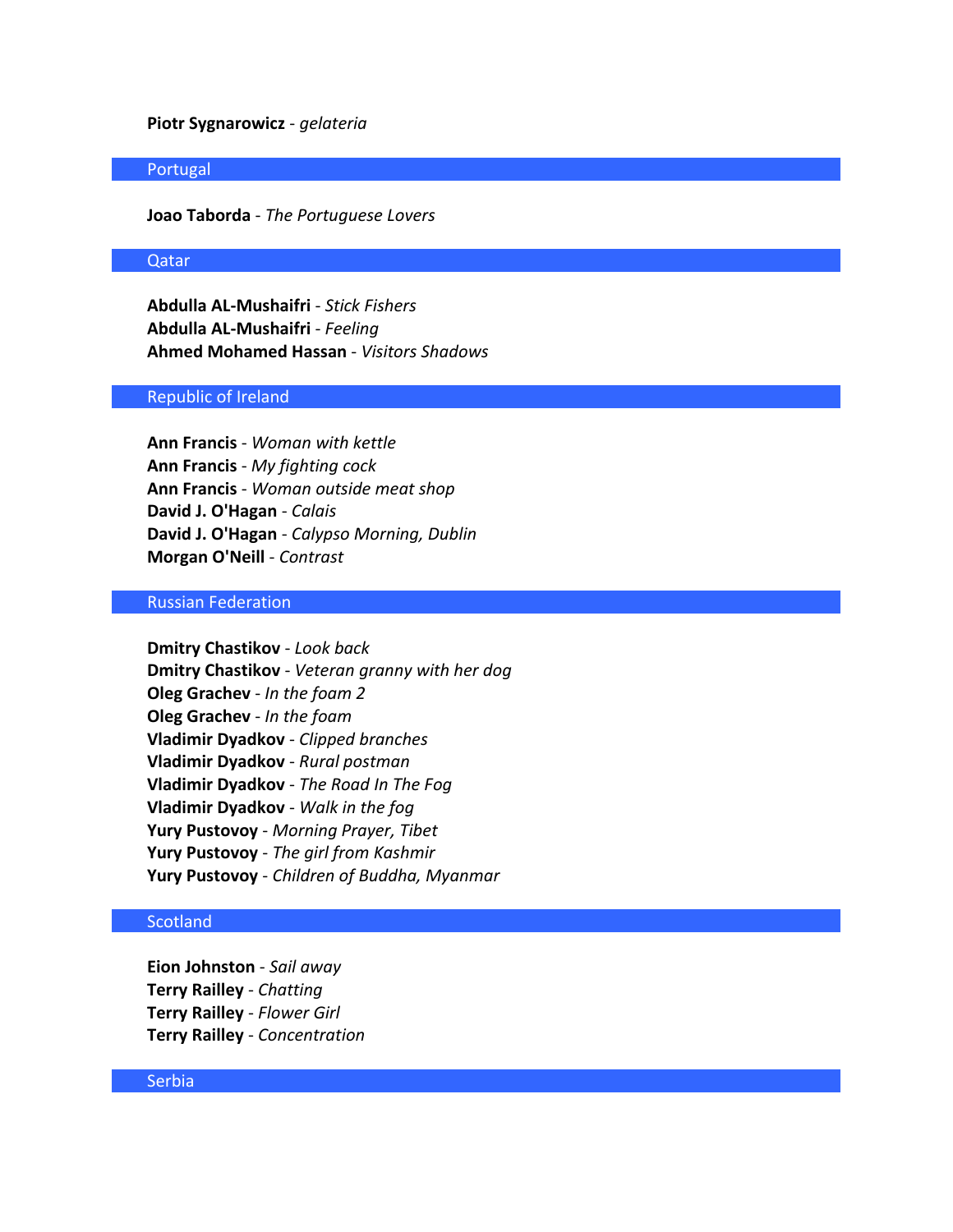### **Piotr Sygnarowicz** - *gelateria*

### Portugal

**Joao Taborda** - *The Portuguese Lovers*

### Qatar

**Abdulla AL-Mushaifri** - *Stick Fishers* **Abdulla AL-Mushaifri** - *Feeling* **Ahmed Mohamed Hassan** - *Visitors Shadows*

#### Republic of Ireland

**Ann Francis** - *Woman with kettle* **Ann Francis** - *My fighting cock* **Ann Francis** - *Woman outside meat shop* **David J. O'Hagan** - *Calais* **David J. O'Hagan** - *Calypso Morning, Dublin* **Morgan O'Neill** - *Contrast*

### Russian Federation

**Dmitry Chastikov** - *Look back* **Dmitry Chastikov** - *Veteran granny with her dog* **Oleg Grachev** - *In the foam 2* **Oleg Grachev** - *In the foam* **Vladimir Dyadkov** - *Clipped branches* **Vladimir Dyadkov** - *Rural postman* **Vladimir Dyadkov** - *The Road In The Fog* **Vladimir Dyadkov** - *Walk in the fog* **Yury Pustovoy** - *Morning Prayer, Tibet* **Yury Pustovoy** - *The girl from Kashmir* **Yury Pustovoy** - *Children of Buddha, Myanmar*

### **Scotland**

**Eion Johnston** - *Sail away* **Terry Railley** - *Chatting* **Terry Railley** - *Flower Girl* **Terry Railley** - *Concentration*

### Serbia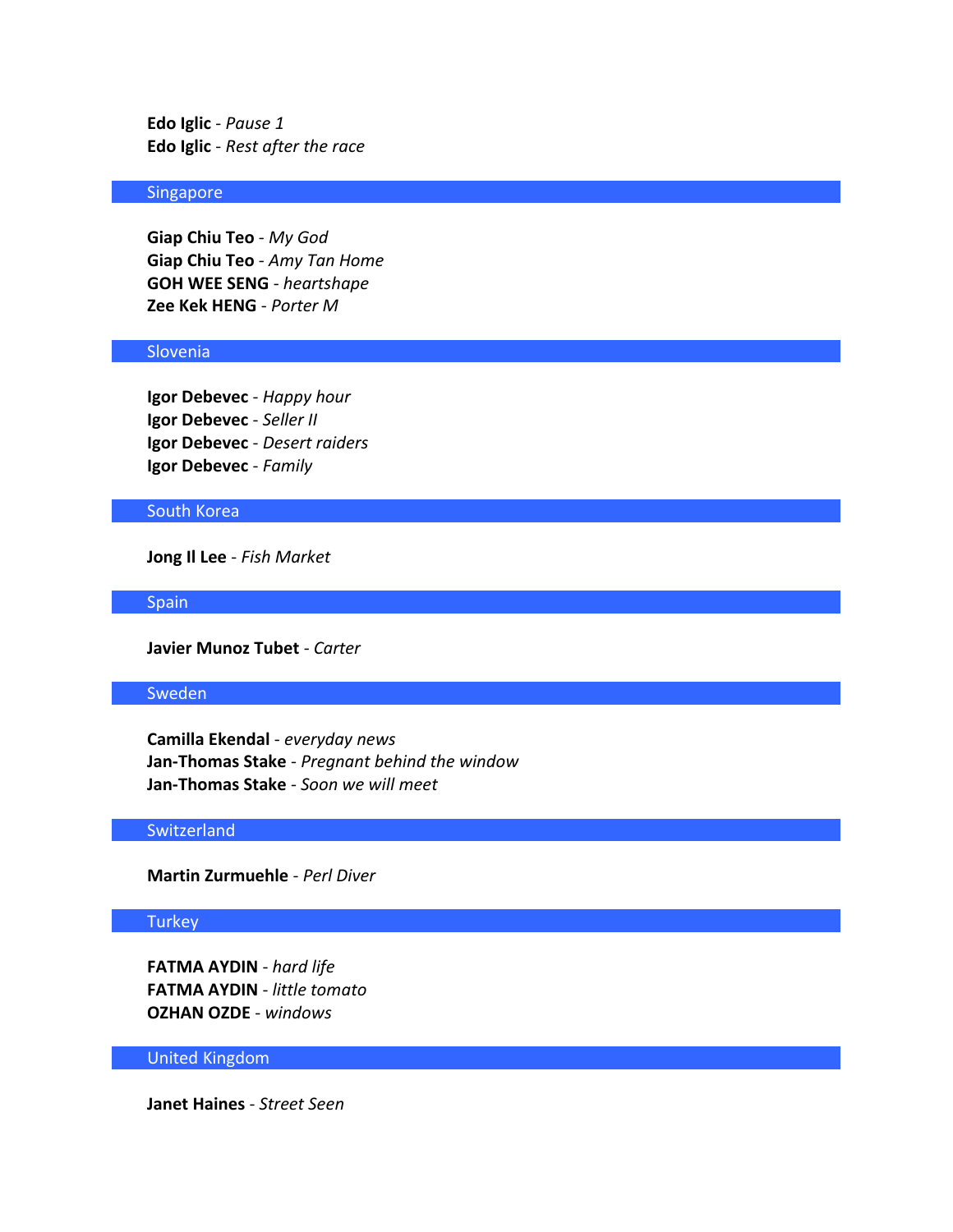**Edo Iglic** - *Pause 1* **Edo Iglic** - *Rest after the race*

### Singapore

**Giap Chiu Teo** - *My God* **Giap Chiu Teo** - *Amy Tan Home* **GOH WEE SENG** - *heartshape* **Zee Kek HENG** - *Porter M*

# Slovenia

**Igor Debevec** - *Happy hour* **Igor Debevec** - *Seller II* **Igor Debevec** - *Desert raiders* **Igor Debevec** - *Family*

### South Korea

**Jong Il Lee** - *Fish Market*

**Spain** 

**Javier Munoz Tubet** - *Carter*

### Sweden

**Camilla Ekendal** - *everyday news* **Jan-Thomas Stake** - *Pregnant behind the window* **Jan-Thomas Stake** - *Soon we will meet*

# **Switzerland**

**Martin Zurmuehle** - *Perl Diver*

# **Turkey**

**FATMA AYDIN** - *hard life* **FATMA AYDIN** - *little tomato* **OZHAN OZDE** - *windows*

### United Kingdom

**Janet Haines** - *Street Seen*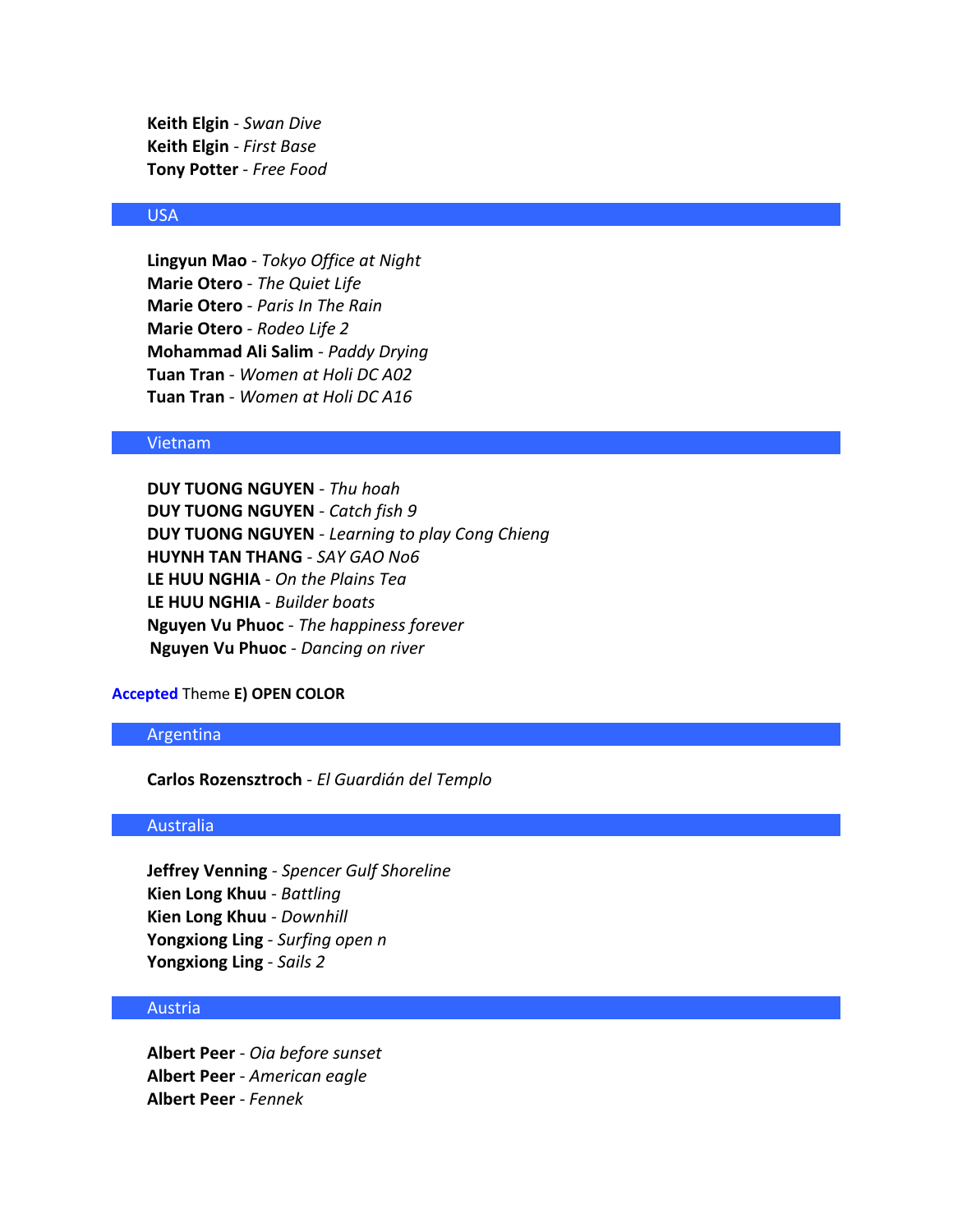**Keith Elgin** - *Swan Dive* **Keith Elgin** - *First Base* **Tony Potter** - *Free Food*

### USA

**Lingyun Mao** - *Tokyo Office at Night* **Marie Otero** - *The Quiet Life* **Marie Otero** - *Paris In The Rain* **Marie Otero** - *Rodeo Life 2* **Mohammad Ali Salim** - *Paddy Drying* **Tuan Tran** - *Women at Holi DC A02* **Tuan Tran** - *Women at Holi DC A16*

### Vietnam

**DUY TUONG NGUYEN** - *Thu hoah* **DUY TUONG NGUYEN** - *Catch fish 9* **DUY TUONG NGUYEN** - *Learning to play Cong Chieng* **HUYNH TAN THANG** - *SAY GAO No6* **LE HUU NGHIA** - *On the Plains Tea* **LE HUU NGHIA** - *Builder boats* **Nguyen Vu Phuoc** - *The happiness forever* **Nguyen Vu Phuoc** - *Dancing on river*

### **Accepted** Theme **E) OPEN COLOR**

#### Argentina

**Carlos Rozensztroch** - *El Guardián del Templo*

### Australia

**Jeffrey Venning** - *Spencer Gulf Shoreline* **Kien Long Khuu** - *Battling* **Kien Long Khuu** - *Downhill* **Yongxiong Ling** - *Surfing open n* **Yongxiong Ling** - *Sails 2*

### Austria

**Albert Peer** - *Oia before sunset* **Albert Peer** - *American eagle* **Albert Peer** - *Fennek*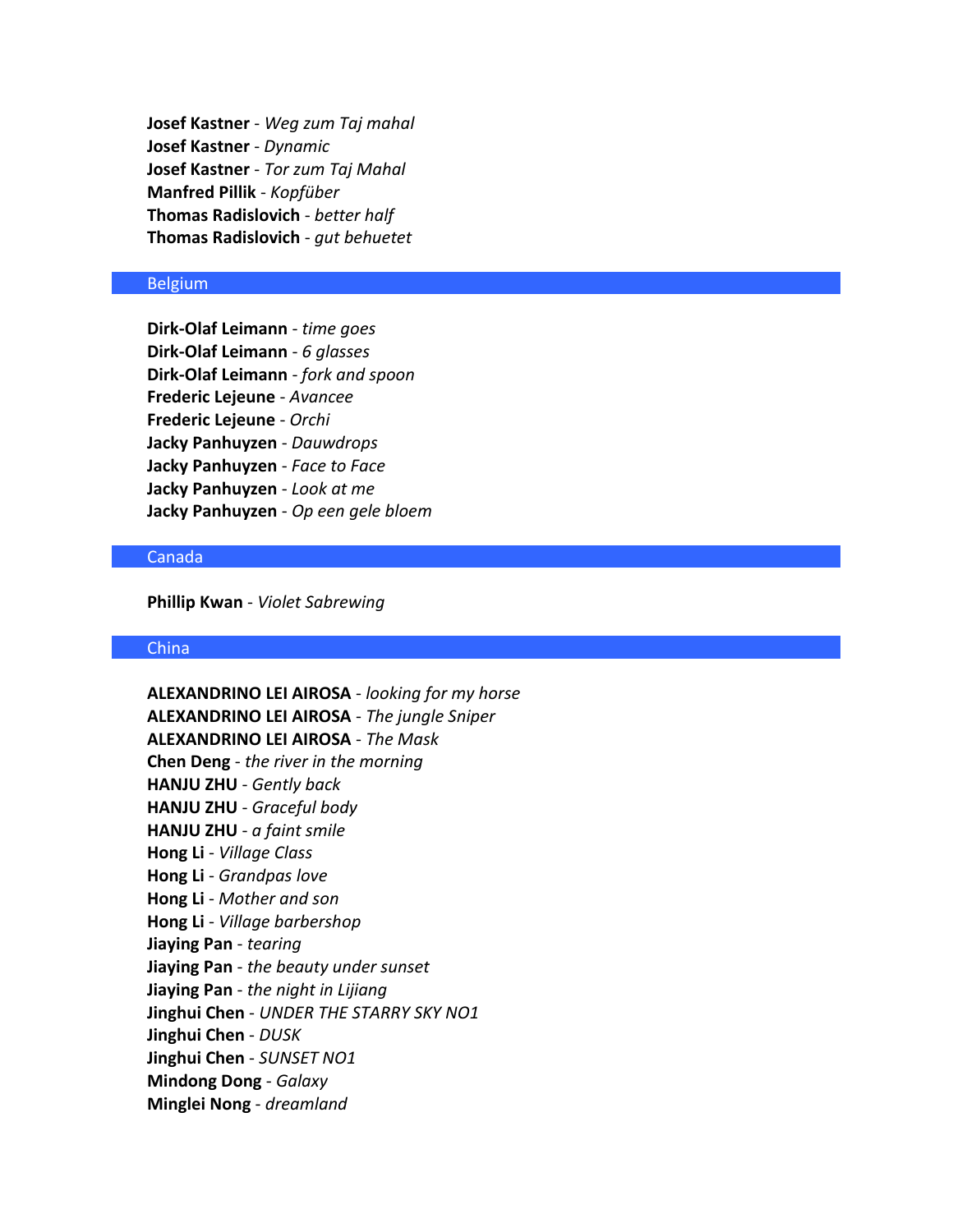**Josef Kastner** - *Weg zum Taj mahal* **Josef Kastner** - *Dynamic* **Josef Kastner** - *Tor zum Taj Mahal* **Manfred Pillik** - *Kopfüber* **Thomas Radislovich** - *better half* **Thomas Radislovich** - *gut behuetet*

### Belgium

**Dirk-Olaf Leimann** - *time goes* **Dirk-Olaf Leimann** - *6 glasses* **Dirk-Olaf Leimann** - *fork and spoon* **Frederic Lejeune** - *Avancee* **Frederic Lejeune** - *Orchi* **Jacky Panhuyzen** - *Dauwdrops* **Jacky Panhuyzen** - *Face to Face* **Jacky Panhuyzen** - *Look at me* **Jacky Panhuyzen** - *Op een gele bloem*

# Canada

**Phillip Kwan** - *Violet Sabrewing*

#### China

**ALEXANDRINO LEI AIROSA** - *looking for my horse* **ALEXANDRINO LEI AIROSA** - *The jungle Sniper* **ALEXANDRINO LEI AIROSA** - *The Mask* **Chen Deng** - *the river in the morning* **HANJU ZHU** - *Gently back* **HANJU ZHU** - *Graceful body* **HANJU ZHU** - *a faint smile* **Hong Li** - *Village Class* **Hong Li** - *Grandpas love* **Hong Li** - *Mother and son* **Hong Li** - *Village barbershop* **Jiaying Pan** - *tearing* **Jiaying Pan** - *the beauty under sunset* **Jiaying Pan** - *the night in Lijiang* **Jinghui Chen** - *UNDER THE STARRY SKY NO1* **Jinghui Chen** - *DUSK* **Jinghui Chen** - *SUNSET NO1* **Mindong Dong** - *Galaxy* **Minglei Nong** - *dreamland*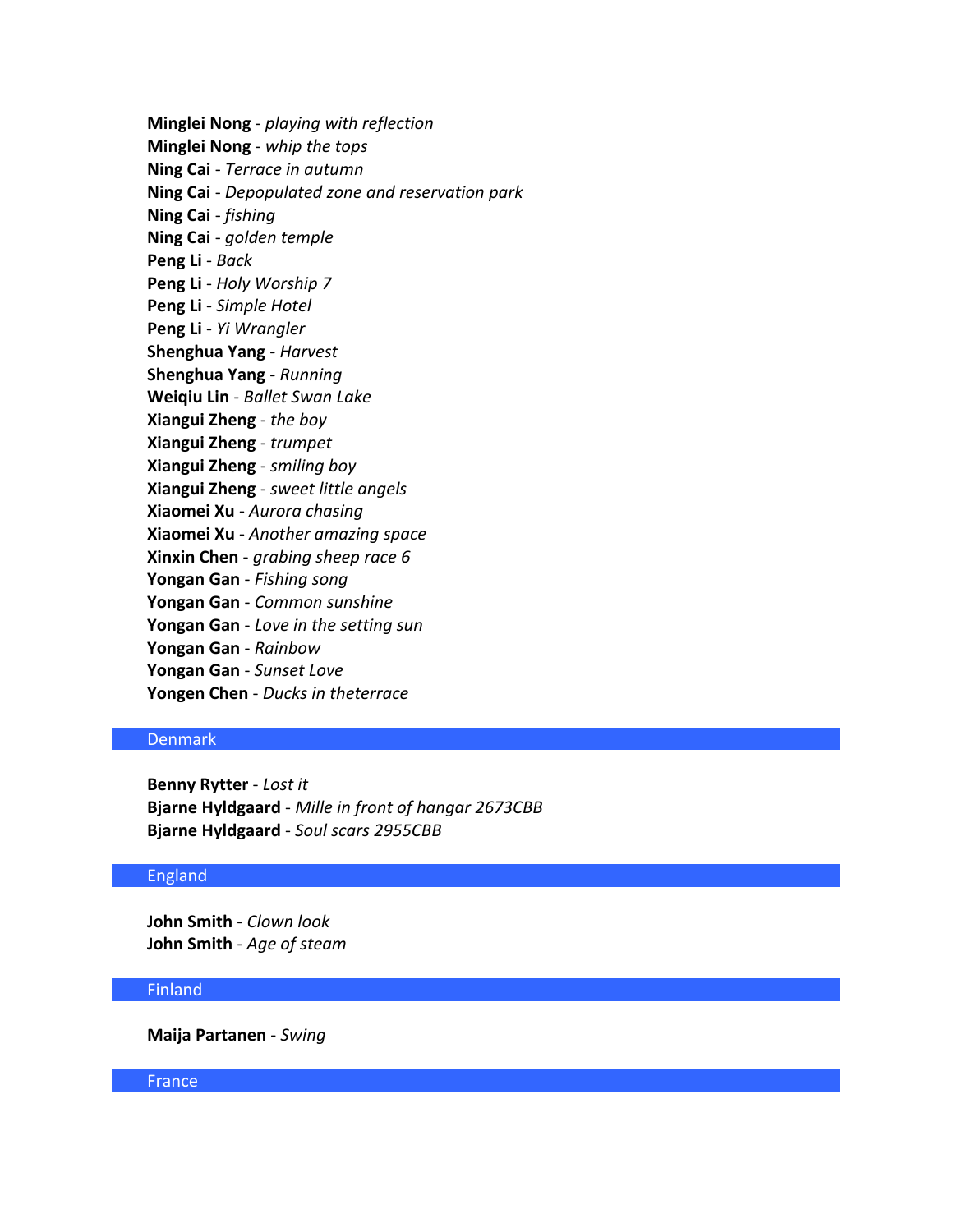**Minglei Nong** - *playing with reflection* **Minglei Nong** - *whip the tops* **Ning Cai** - *Terrace in autumn* **Ning Cai** - *Depopulated zone and reservation park* **Ning Cai** - *fishing* **Ning Cai** - *golden temple* **Peng Li** - *Back* **Peng Li** - *Holy Worship 7* **Peng Li** - *Simple Hotel* **Peng Li** - *Yi Wrangler* **Shenghua Yang** - *Harvest* **Shenghua Yang** - *Running* **Weiqiu Lin** - *Ballet Swan Lake* **Xiangui Zheng** - *the boy* **Xiangui Zheng** - *trumpet* **Xiangui Zheng** - *smiling boy* **Xiangui Zheng** - *sweet little angels* **Xiaomei Xu** - *Aurora chasing* **Xiaomei Xu** - *Another amazing space* **Xinxin Chen** - *grabing sheep race 6* **Yongan Gan** - *Fishing song* **Yongan Gan** - *Common sunshine* **Yongan Gan** - *Love in the setting sun* **Yongan Gan** - *Rainbow* **Yongan Gan** - *Sunset Love* **Yongen Chen** - *Ducks in theterrace*

# Denmark

**Benny Rytter** - *Lost it* **Bjarne Hyldgaard** - *Mille in front of hangar 2673CBB* **Bjarne Hyldgaard** - *Soul scars 2955CBB*

### England

**John Smith** - *Clown look* **John Smith** - *Age of steam*

### Finland

**Maija Partanen** - *Swing*

### France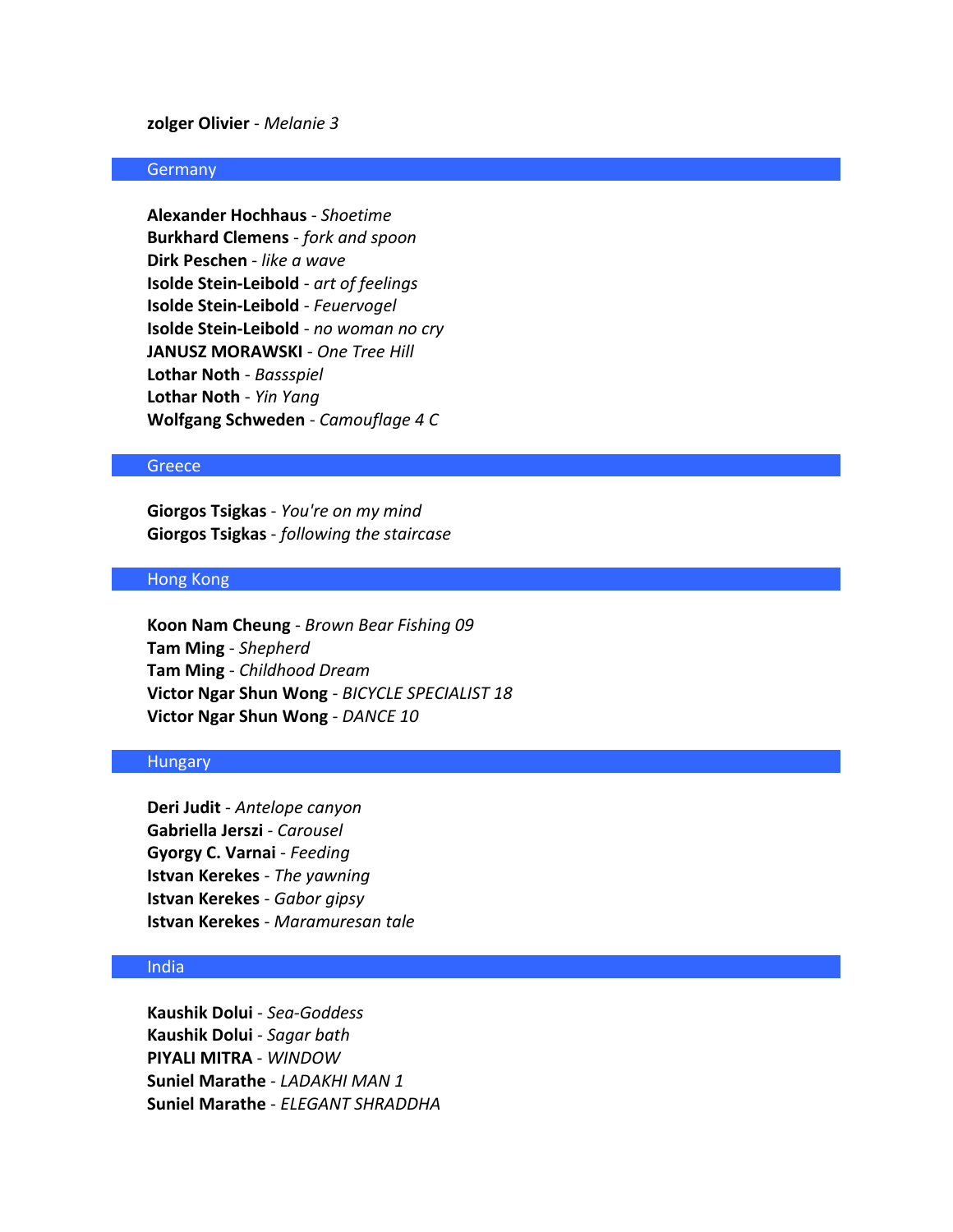**zolger Olivier** - *Melanie 3*

### **Germany**

**Alexander Hochhaus** - *Shoetime* **Burkhard Clemens** - *fork and spoon* **Dirk Peschen** - *like a wave* **Isolde Stein-Leibold** - *art of feelings* **Isolde Stein-Leibold** - *Feuervogel* **Isolde Stein-Leibold** - *no woman no cry* **JANUSZ MORAWSKI** - *One Tree Hill* **Lothar Noth** - *Bassspiel* **Lothar Noth** - *Yin Yang* **Wolfgang Schweden** - *Camouflage 4 C*

### **Greece**

**Giorgos Tsigkas** - *You're on my mind* **Giorgos Tsigkas** - *following the staircase*

### Hong Kong

**Koon Nam Cheung** - *Brown Bear Fishing 09* **Tam Ming** - *Shepherd* **Tam Ming** - *Childhood Dream* **Victor Ngar Shun Wong** - *BICYCLE SPECIALIST 18* **Victor Ngar Shun Wong** - *DANCE 10*

### **Hungary**

**Deri Judit** - *Antelope canyon* **Gabriella Jerszi** - *Carousel* **Gyorgy C. Varnai** - *Feeding* **Istvan Kerekes** - *The yawning* **Istvan Kerekes** - *Gabor gipsy* **Istvan Kerekes** - *Maramuresan tale*

# India

**Kaushik Dolui** - *Sea-Goddess* **Kaushik Dolui** - *Sagar bath* **PIYALI MITRA** - *WINDOW* **Suniel Marathe** - *LADAKHI MAN 1* **Suniel Marathe** - *ELEGANT SHRADDHA*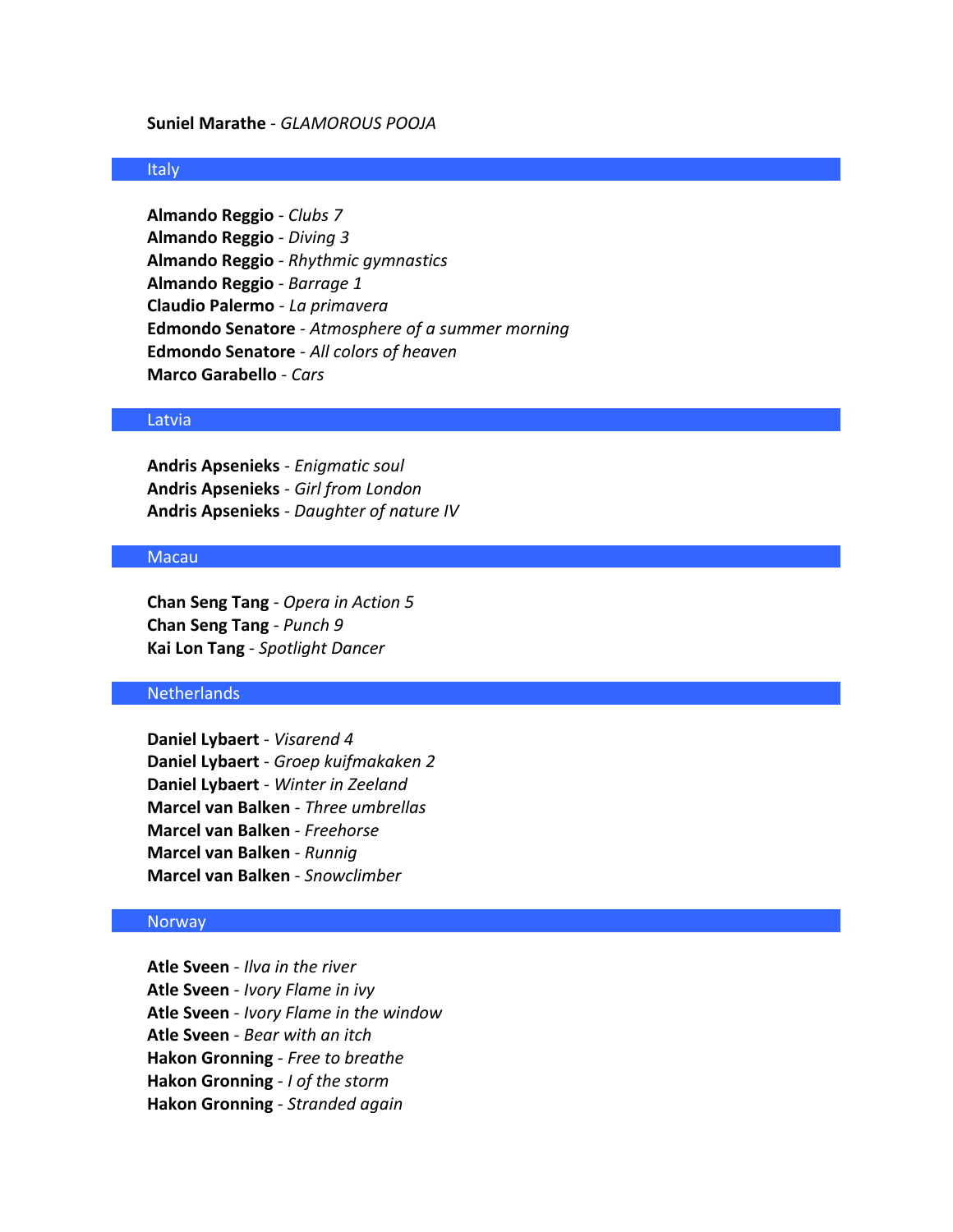#### **Suniel Marathe** - *GLAMOROUS POOJA*

### Italy

**Almando Reggio** - *Clubs 7* **Almando Reggio** - *Diving 3* **Almando Reggio** - *Rhythmic gymnastics* **Almando Reggio** - *Barrage 1* **Claudio Palermo** - *La primavera* **Edmondo Senatore** - *Atmosphere of a summer morning* **Edmondo Senatore** - *All colors of heaven* **Marco Garabello** - *Cars*

### Latvia

**Andris Apsenieks** - *Enigmatic soul* **Andris Apsenieks** - *Girl from London* **Andris Apsenieks** - *Daughter of nature IV*

### Macau

**Chan Seng Tang** - *Opera in Action 5* **Chan Seng Tang** - *Punch 9* **Kai Lon Tang** - *Spotlight Dancer*

# Netherlands

**Daniel Lybaert** - *Visarend 4* **Daniel Lybaert** - *Groep kuifmakaken 2* **Daniel Lybaert** - *Winter in Zeeland* **Marcel van Balken** - *Three umbrellas* **Marcel van Balken** - *Freehorse* **Marcel van Balken** - *Runnig* **Marcel van Balken** - *Snowclimber*

#### Norway

**Atle Sveen** - *Ilva in the river* **Atle Sveen** - *Ivory Flame in ivy* **Atle Sveen** - *Ivory Flame in the window* **Atle Sveen** - *Bear with an itch* **Hakon Gronning** - *Free to breathe* **Hakon Gronning** - *I of the storm* **Hakon Gronning** - *Stranded again*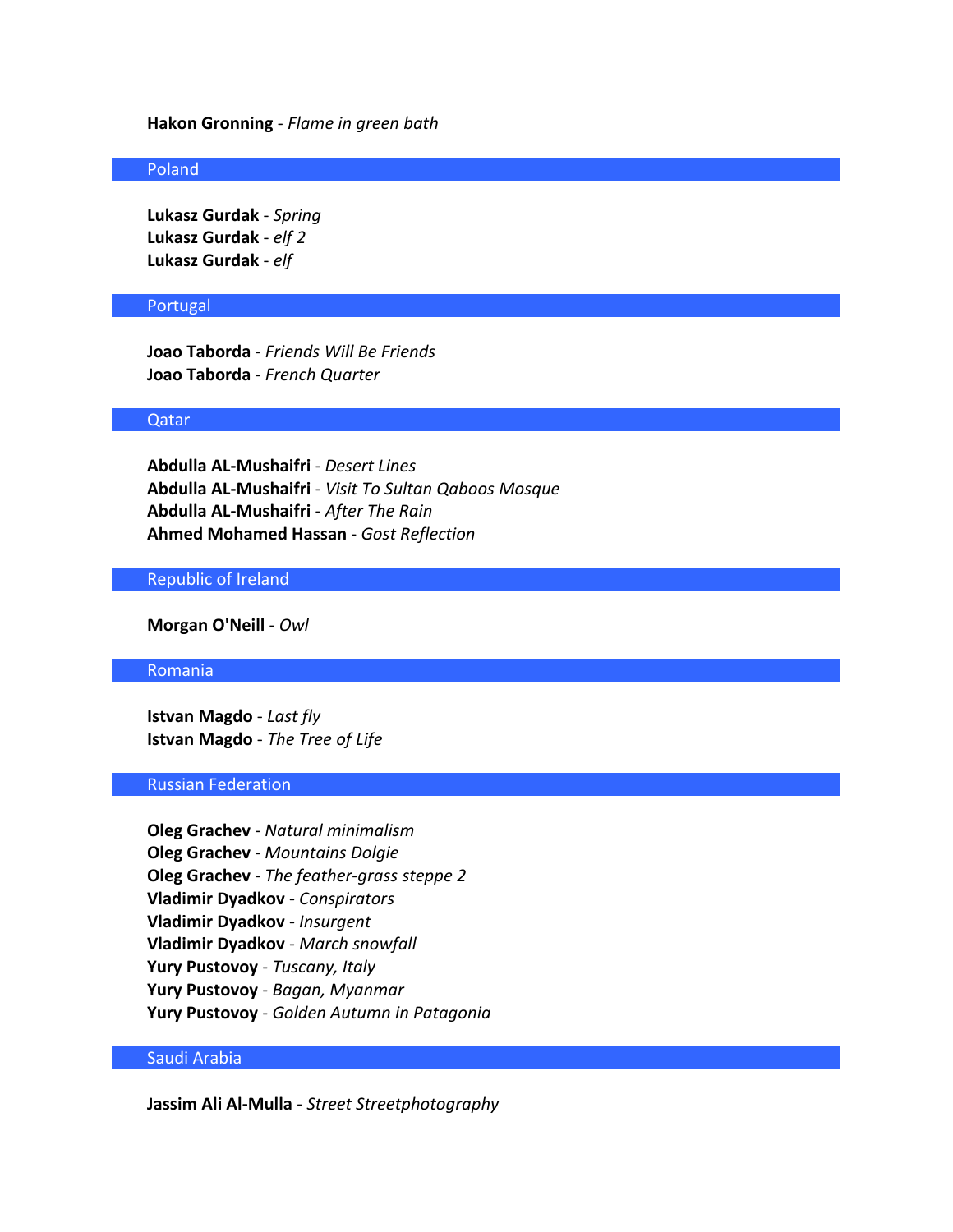#### **Hakon Gronning** - *Flame in green bath*

### Poland

**Lukasz Gurdak** - *Spring* **Lukasz Gurdak** - *elf 2* **Lukasz Gurdak** - *elf*

#### Portugal

**Joao Taborda** - *Friends Will Be Friends* **Joao Taborda** - *French Quarter*

### Qatar

**Abdulla AL-Mushaifri** - *Desert Lines* **Abdulla AL-Mushaifri** - *Visit To Sultan Qaboos Mosque* **Abdulla AL-Mushaifri** - *After The Rain* **Ahmed Mohamed Hassan** - *Gost Reflection*

### Republic of Ireland

**Morgan O'Neill** - *Owl*

### Romania

**Istvan Magdo** - *Last fly* **Istvan Magdo** - *The Tree of Life*

### Russian Federation

**Oleg Grachev** - *Natural minimalism* **Oleg Grachev** - *Mountains Dolgie* **Oleg Grachev** - *The feather-grass steppe 2* **Vladimir Dyadkov** - *Conspirators* **Vladimir Dyadkov** - *Insurgent* **Vladimir Dyadkov** - *March snowfall* **Yury Pustovoy** - *Tuscany, Italy* **Yury Pustovoy** - *Bagan, Myanmar* **Yury Pustovoy** - *Golden Autumn in Patagonia*

# Saudi Arabia

**Jassim Ali Al-Mulla** - *Street Streetphotography*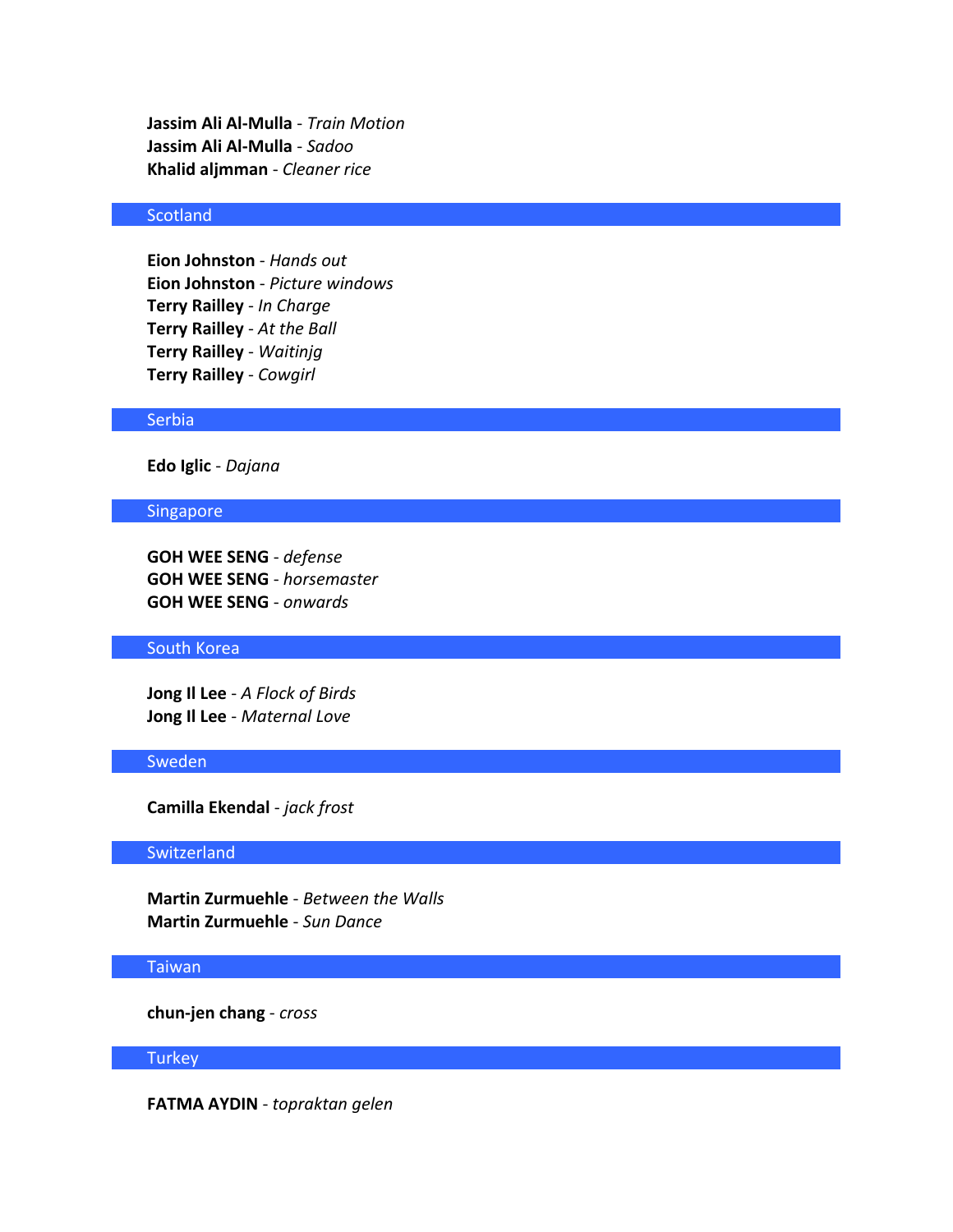**Jassim Ali Al-Mulla** - *Train Motion* **Jassim Ali Al-Mulla** - *Sadoo* **Khalid aljmman** - *Cleaner rice*

# **Scotland**

**Eion Johnston** - *Hands out* **Eion Johnston** - *Picture windows* **Terry Railley** - *In Charge* **Terry Railley** - *At the Ball* **Terry Railley** - *Waitinjg* **Terry Railley** - *Cowgirl*

### **Serbia**

**Edo Iglic** - *Dajana*

### Singapore

**GOH WEE SENG** - *defense* **GOH WEE SENG** - *horsemaster* **GOH WEE SENG** - *onwards*

# South Korea

**Jong Il Lee** - *A Flock of Birds* **Jong Il Lee** - *Maternal Love*

# Sweden

**Camilla Ekendal** - *jack frost*

# **Switzerland**

**Martin Zurmuehle** - *Between the Walls* **Martin Zurmuehle** - *Sun Dance*

# Taiwan

**chun-jen chang** - *cross*

## **Turkey**

**FATMA AYDIN** - *topraktan gelen*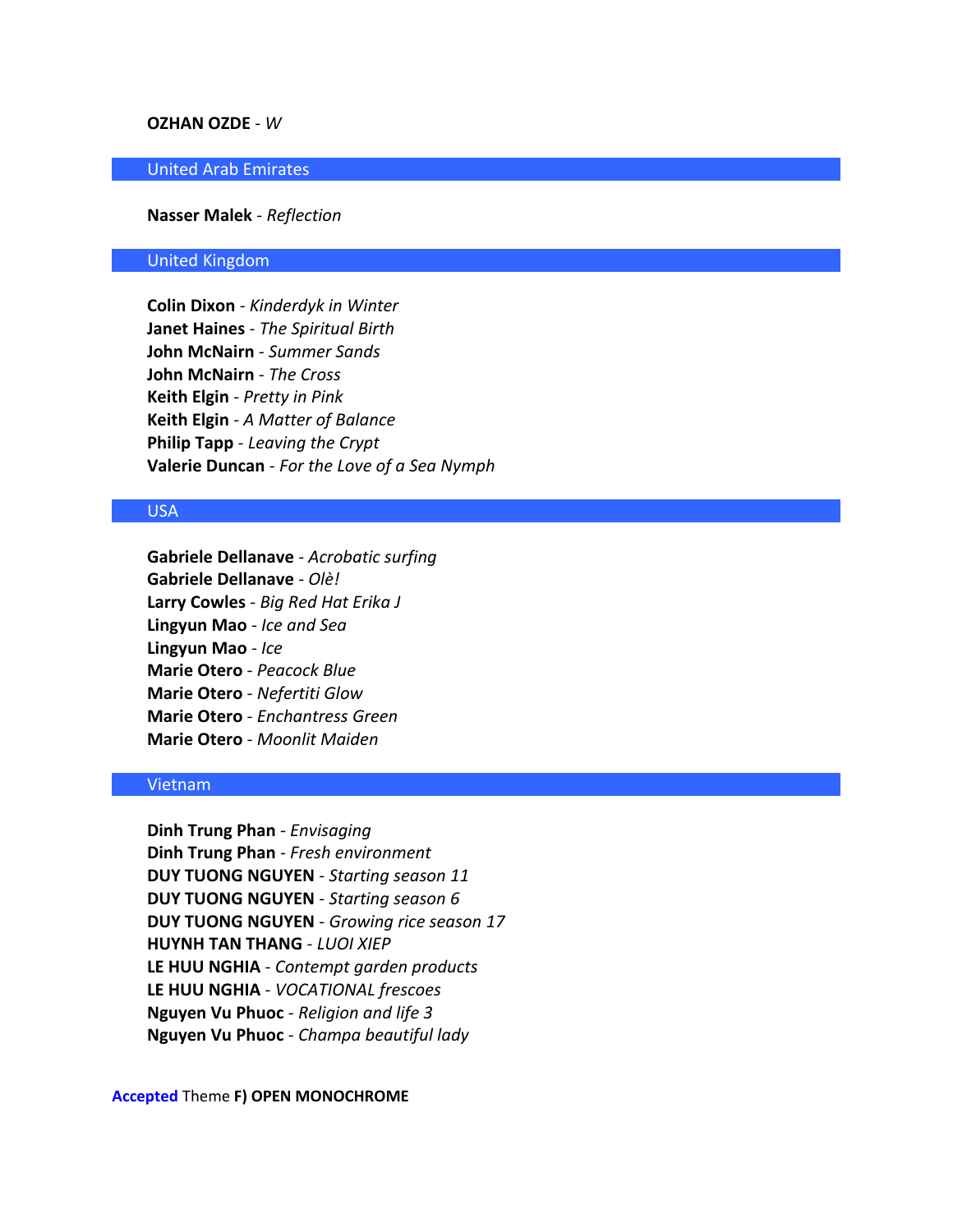### **OZHAN OZDE** - *W*

### United Arab Emirates

### **Nasser Malek** - *Reflection*

### United Kingdom

**Colin Dixon** - *Kinderdyk in Winter* **Janet Haines** - *The Spiritual Birth* **John McNairn** - *Summer Sands* **John McNairn** - *The Cross* **Keith Elgin** - *Pretty in Pink* **Keith Elgin** - *A Matter of Balance* **Philip Tapp** - *Leaving the Crypt* **Valerie Duncan** - *For the Love of a Sea Nymph*

### USA

**Gabriele Dellanave** - *Acrobatic surfing* **Gabriele Dellanave** - *Olè!* **Larry Cowles** - *Big Red Hat Erika J* **Lingyun Mao** - *Ice and Sea* **Lingyun Mao** - *Ice* **Marie Otero** - *Peacock Blue* **Marie Otero** - *Nefertiti Glow* **Marie Otero** - *Enchantress Green* **Marie Otero** - *Moonlit Maiden*

### Vietnam

**Dinh Trung Phan** - *Envisaging* **Dinh Trung Phan** - *Fresh environment* **DUY TUONG NGUYEN** - *Starting season 11* **DUY TUONG NGUYEN** - *Starting season 6* **DUY TUONG NGUYEN** - *Growing rice season 17* **HUYNH TAN THANG** - *LUOI XIEP* **LE HUU NGHIA** - *Contempt garden products* **LE HUU NGHIA** - *VOCATIONAL frescoes* **Nguyen Vu Phuoc** - *Religion and life 3* **Nguyen Vu Phuoc** - *Champa beautiful lady*

### **Accepted** Theme **F) OPEN MONOCHROME**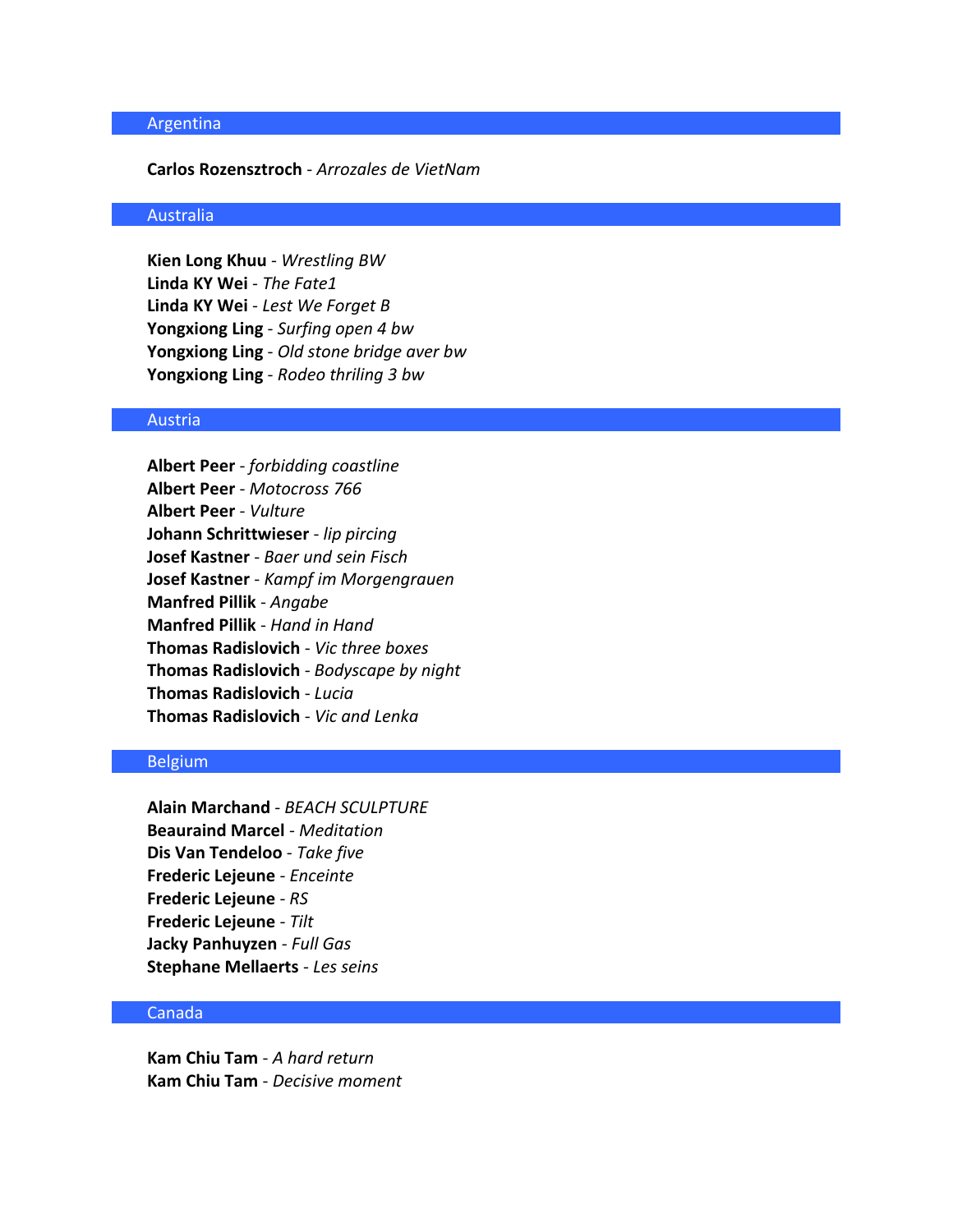### Argentina

#### **Carlos Rozensztroch** - *Arrozales de VietNam*

### Australia

**Kien Long Khuu** - *Wrestling BW* **Linda KY Wei** - *The Fate1* **Linda KY Wei** - *Lest We Forget B* **Yongxiong Ling** - *Surfing open 4 bw* **Yongxiong Ling** - *Old stone bridge aver bw* **Yongxiong Ling** - *Rodeo thriling 3 bw*

# Austria

**Albert Peer** - *forbidding coastline* **Albert Peer** - *Motocross 766* **Albert Peer** - *Vulture* **Johann Schrittwieser** - *lip pircing* **Josef Kastner** - *Baer und sein Fisch* **Josef Kastner** - *Kampf im Morgengrauen* **Manfred Pillik** - *Angabe* **Manfred Pillik** - *Hand in Hand* **Thomas Radislovich** - *Vic three boxes* **Thomas Radislovich** - *Bodyscape by night* **Thomas Radislovich** - *Lucia* **Thomas Radislovich** - *Vic and Lenka*

# Belgium

**Alain Marchand** - *BEACH SCULPTURE* **Beauraind Marcel** - *Meditation* **Dis Van Tendeloo** - *Take five* **Frederic Lejeune** - *Enceinte* **Frederic Lejeune** - *RS* **Frederic Lejeune** - *Tilt* **Jacky Panhuyzen** - *Full Gas* **Stephane Mellaerts** - *Les seins*

# Canada

**Kam Chiu Tam** - *A hard return* **Kam Chiu Tam** - *Decisive moment*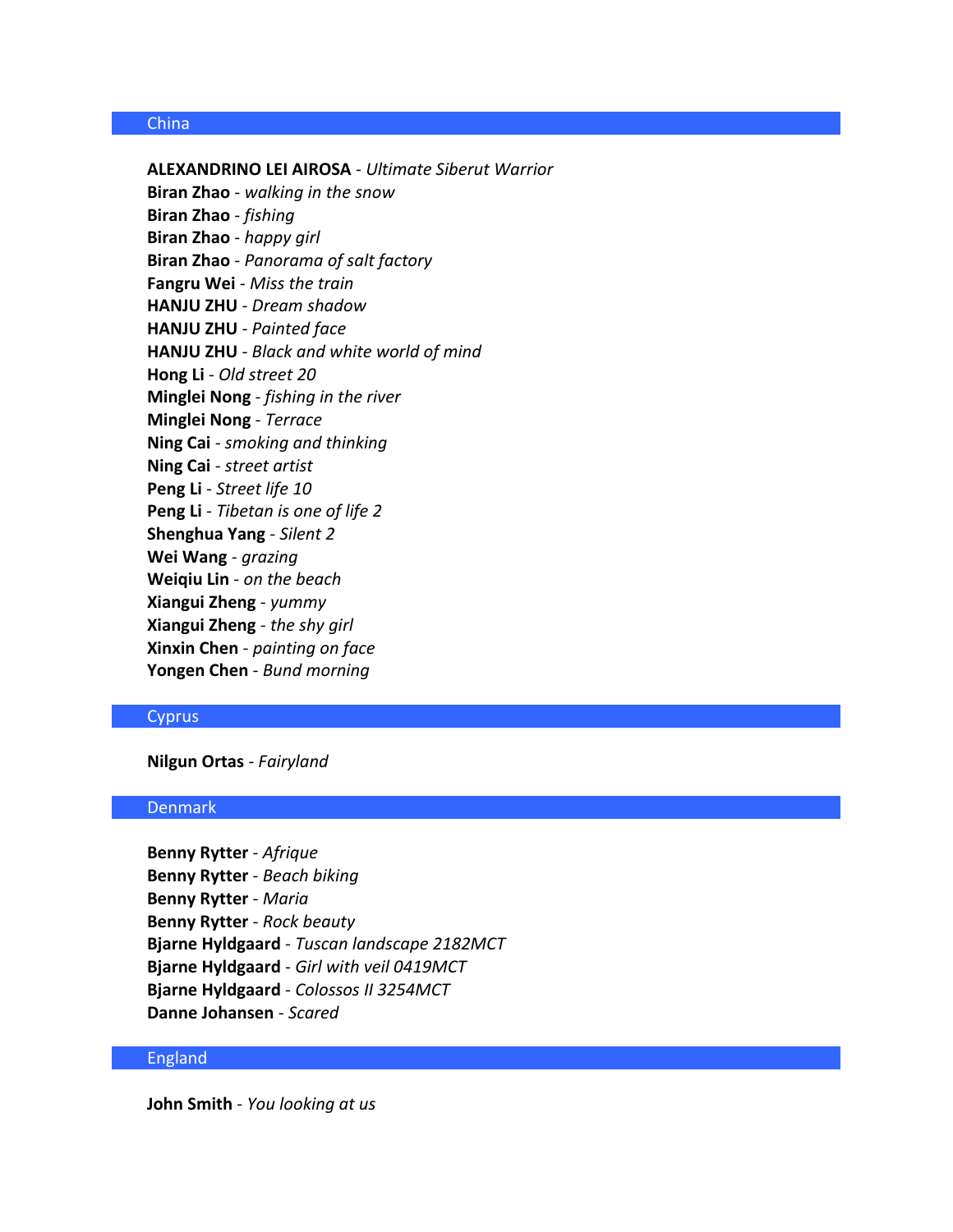### China

**ALEXANDRINO LEI AIROSA** - *Ultimate Siberut Warrior* **Biran Zhao** - *walking in the snow* **Biran Zhao** - *fishing* **Biran Zhao** - *happy girl* **Biran Zhao** - *Panorama of salt factory* **Fangru Wei** - *Miss the train* **HANJU ZHU** - *Dream shadow* **HANJU ZHU** - *Painted face* **HANJU ZHU** - *Black and white world of mind* **Hong Li** - *Old street 20* **Minglei Nong** - *fishing in the river* **Minglei Nong** - *Terrace* **Ning Cai** - *smoking and thinking* **Ning Cai** - *street artist* **Peng Li** - *Street life 10* **Peng Li** - *Tibetan is one of life 2* **Shenghua Yang** - *Silent 2* **Wei Wang** - *grazing* **Weiqiu Lin** - *on the beach* **Xiangui Zheng** - *yummy* **Xiangui Zheng** - *the shy girl* **Xinxin Chen** - *painting on face* **Yongen Chen** - *Bund morning*

### **Cyprus**

**Nilgun Ortas** - *Fairyland*

### Denmark

**Benny Rytter** - *Afrique* **Benny Rytter** - *Beach biking* **Benny Rytter** - *Maria* **Benny Rytter** - *Rock beauty* **Bjarne Hyldgaard** - *Tuscan landscape 2182MCT* **Bjarne Hyldgaard** - *Girl with veil 0419MCT* **Bjarne Hyldgaard** - *Colossos II 3254MCT* **Danne Johansen** - *Scared*

#### England

**John Smith** - *You looking at us*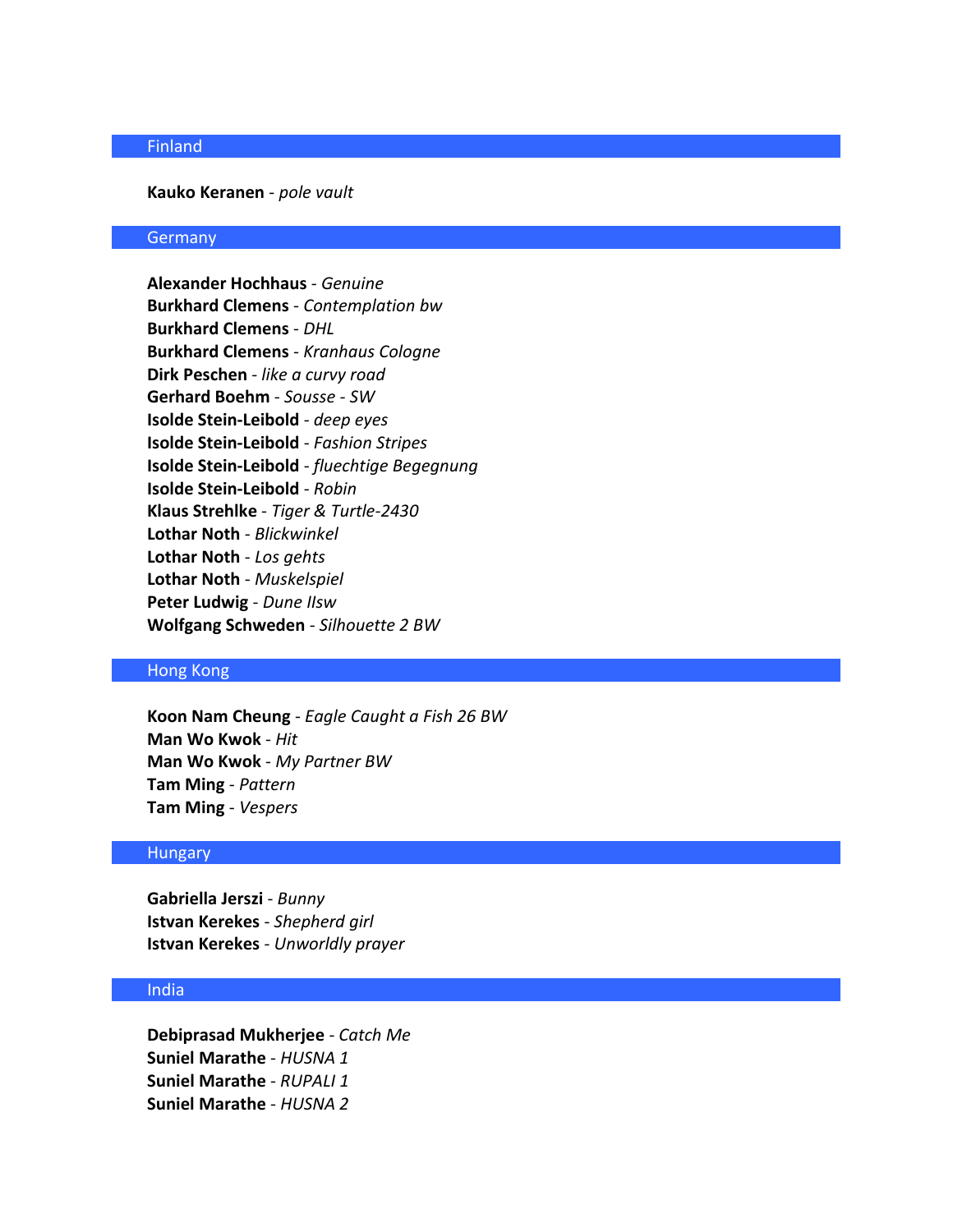# Finland

#### **Kauko Keranen** - *pole vault*

### **Germany**

**Alexander Hochhaus** - *Genuine* **Burkhard Clemens** - *Contemplation bw* **Burkhard Clemens** - *DHL* **Burkhard Clemens** - *Kranhaus Cologne* **Dirk Peschen** - *like a curvy road* **Gerhard Boehm** - *Sousse - SW* **Isolde Stein-Leibold** - *deep eyes* **Isolde Stein-Leibold** - *Fashion Stripes* **Isolde Stein-Leibold** - *fluechtige Begegnung* **Isolde Stein-Leibold** - *Robin* **Klaus Strehlke** - *Tiger & Turtle-2430* **Lothar Noth** - *Blickwinkel* **Lothar Noth** - *Los gehts* **Lothar Noth** - *Muskelspiel* **Peter Ludwig** - *Dune IIsw* **Wolfgang Schweden** - *Silhouette 2 BW*

# Hong Kong

**Koon Nam Cheung** - *Eagle Caught a Fish 26 BW* **Man Wo Kwok** - *Hit* **Man Wo Kwok** - *My Partner BW* **Tam Ming** - *Pattern* **Tam Ming** - *Vespers*

#### **Hungary**

**Gabriella Jerszi** - *Bunny* **Istvan Kerekes** - *Shepherd girl* **Istvan Kerekes** - *Unworldly prayer*

### India

**Debiprasad Mukherjee** - *Catch Me* **Suniel Marathe** - *HUSNA 1* **Suniel Marathe** - *RUPALI 1* **Suniel Marathe** - *HUSNA 2*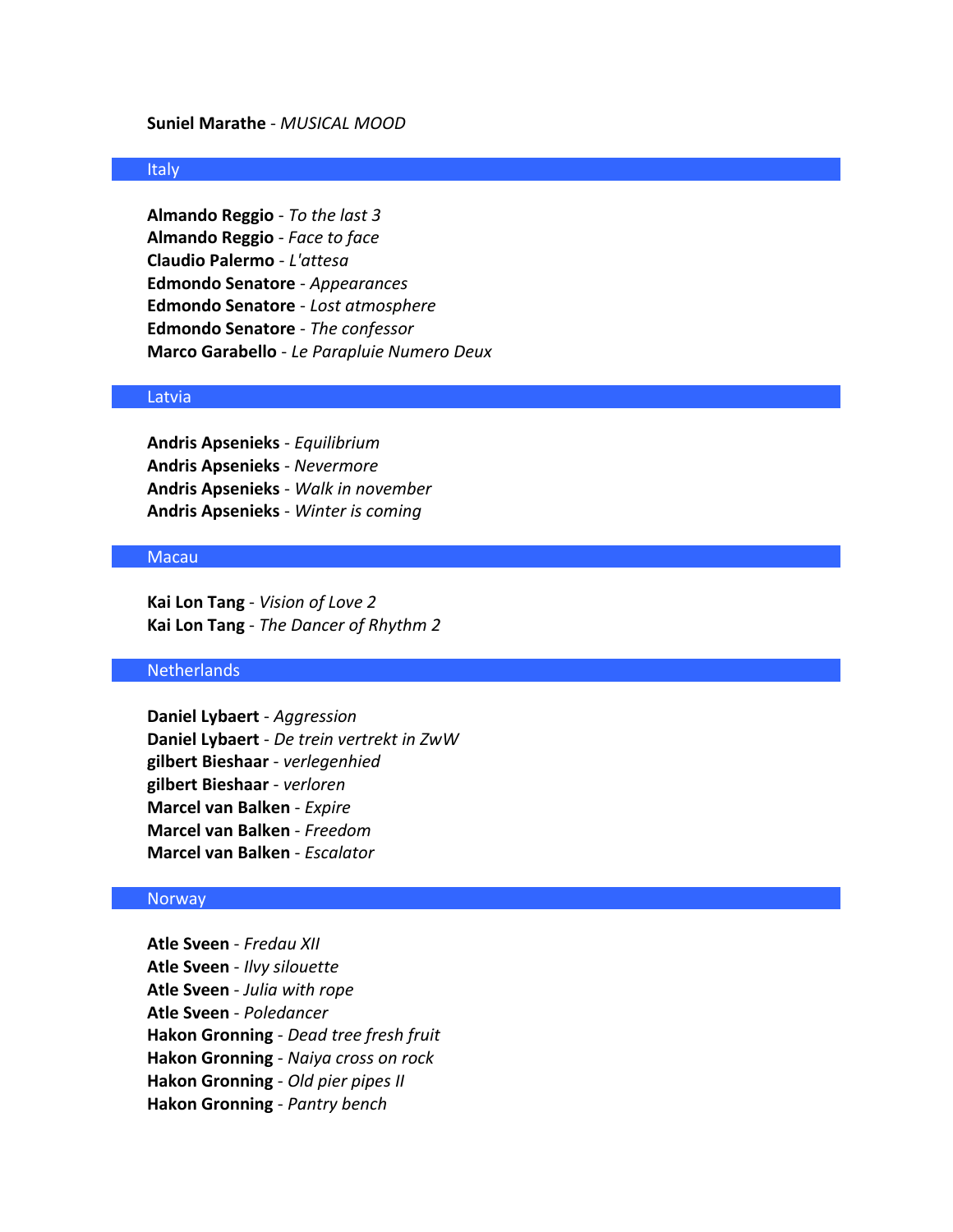### **Suniel Marathe** - *MUSICAL MOOD*

### Italy

**Almando Reggio** - *To the last 3* **Almando Reggio** - *Face to face* **Claudio Palermo** - *L'attesa* **Edmondo Senatore** - *Appearances* **Edmondo Senatore** - *Lost atmosphere* **Edmondo Senatore** - *The confessor* **Marco Garabello** - *Le Parapluie Numero Deux*

#### Latvia

**Andris Apsenieks** - *Equilibrium* **Andris Apsenieks** - *Nevermore* **Andris Apsenieks** - *Walk in november* **Andris Apsenieks** - *Winter is coming*

### Macau

**Kai Lon Tang** - *Vision of Love 2* **Kai Lon Tang** - *The Dancer of Rhythm 2*

### Netherlands

**Daniel Lybaert** - *Aggression* **Daniel Lybaert** - *De trein vertrekt in ZwW* **gilbert Bieshaar** - *verlegenhied* **gilbert Bieshaar** - *verloren* **Marcel van Balken** - *Expire* **Marcel van Balken** - *Freedom* **Marcel van Balken** - *Escalator*

#### Norway

**Atle Sveen** - *Fredau XII* **Atle Sveen** - *Ilvy silouette* **Atle Sveen** - *Julia with rope* **Atle Sveen** - *Poledancer* **Hakon Gronning** - *Dead tree fresh fruit* **Hakon Gronning** - *Naiya cross on rock* **Hakon Gronning** - *Old pier pipes II* **Hakon Gronning** - *Pantry bench*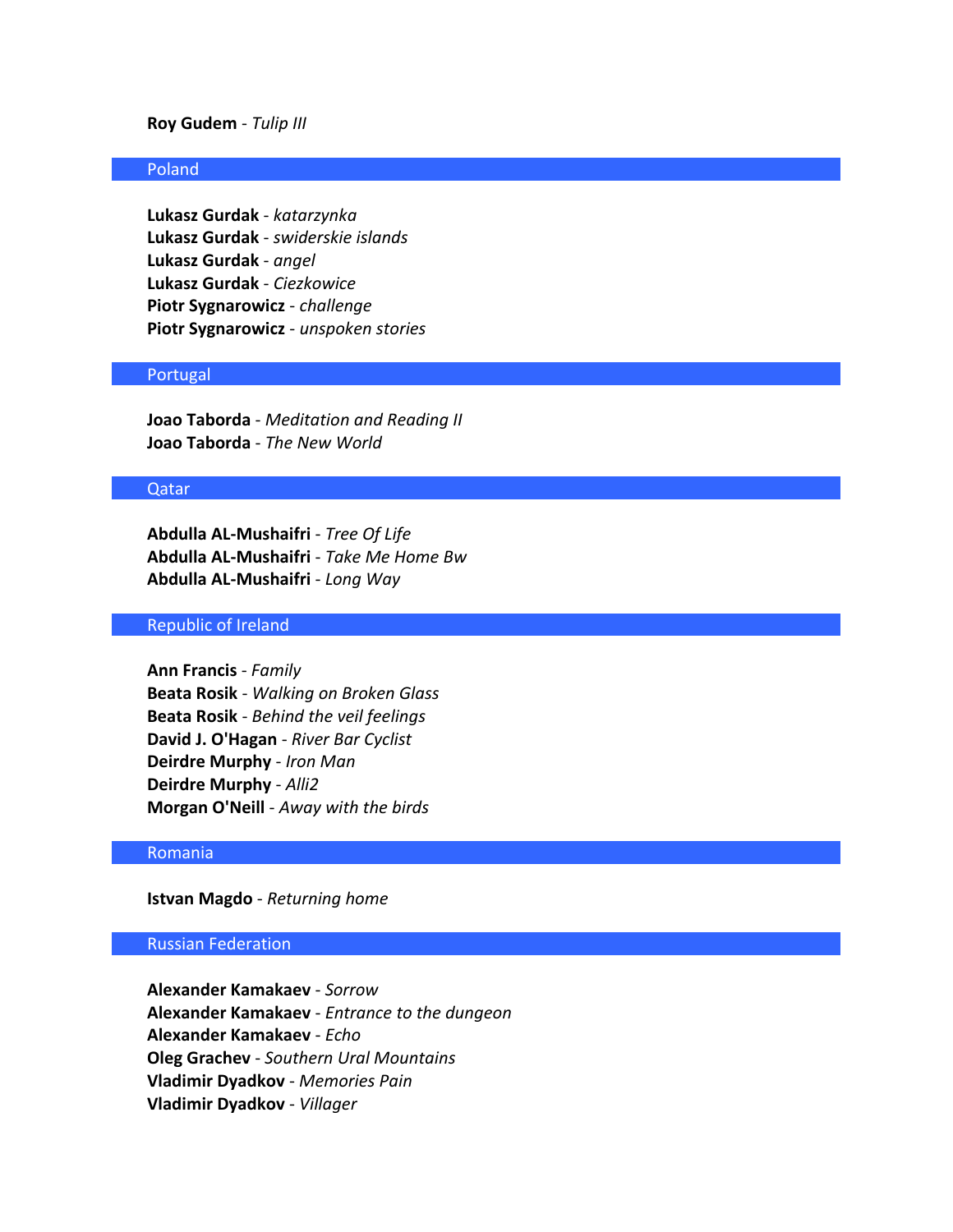### **Roy Gudem** - *Tulip III*

### Poland

**Lukasz Gurdak** - *katarzynka* **Lukasz Gurdak** - *swiderskie islands* **Lukasz Gurdak** - *angel* **Lukasz Gurdak** - *Ciezkowice* **Piotr Sygnarowicz** - *challenge* **Piotr Sygnarowicz** - *unspoken stories*

### Portugal

**Joao Taborda** - *Meditation and Reading II* **Joao Taborda** - *The New World*

#### Qatar

**Abdulla AL-Mushaifri** - *Tree Of Life* **Abdulla AL-Mushaifri** - *Take Me Home Bw* **Abdulla AL-Mushaifri** - *Long Way*

#### Republic of Ireland

**Ann Francis** - *Family* **Beata Rosik** - *Walking on Broken Glass* **Beata Rosik** - *Behind the veil feelings* **David J. O'Hagan** - *River Bar Cyclist* **Deirdre Murphy** - *Iron Man* **Deirdre Murphy** - *Alli2* **Morgan O'Neill** - *Away with the birds*

### Romania

**Istvan Magdo** - *Returning home*

### Russian Federation

**Alexander Kamakaev** - *Sorrow* **Alexander Kamakaev** - *Entrance to the dungeon* **Alexander Kamakaev** - *Echo* **Oleg Grachev** - *Southern Ural Mountains* **Vladimir Dyadkov** - *Memories Pain* **Vladimir Dyadkov** - *Villager*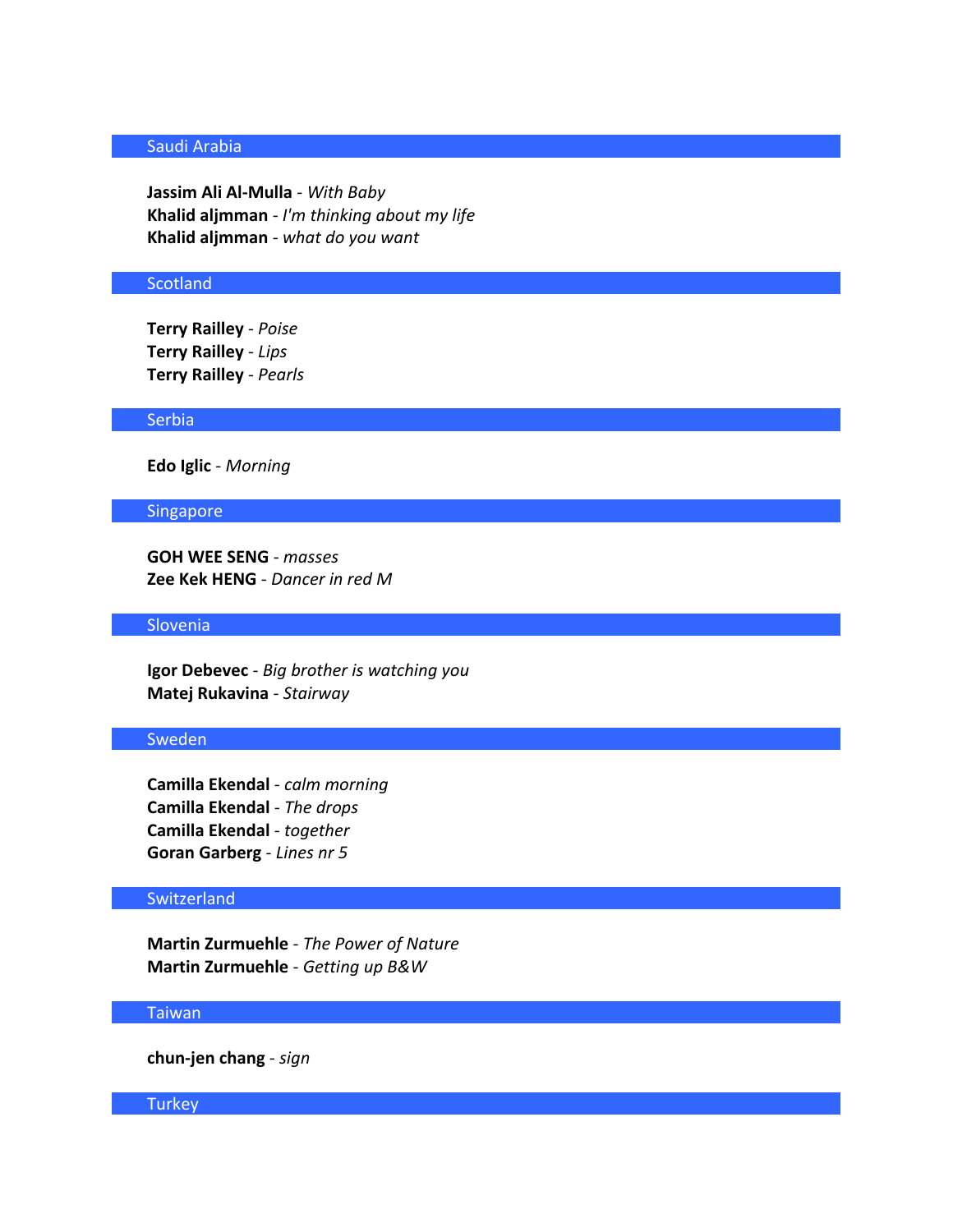# Saudi Arabia

**Jassim Ali Al-Mulla** - *With Baby* **Khalid aljmman** - *I'm thinking about my life* **Khalid aljmman** - *what do you want*

#### **Scotland**

**Terry Railley** - *Poise* **Terry Railley** - *Lips* **Terry Railley** - *Pearls*

#### **Serbia**

**Edo Iglic** - *Morning*

### Singapore

**GOH WEE SENG** - *masses* **Zee Kek HENG** - *Dancer in red M*

# Slovenia

**Igor Debevec** - *Big brother is watching you* **Matej Rukavina** - *Stairway*

### Sweden

**Camilla Ekendal** - *calm morning* **Camilla Ekendal** - *The drops* **Camilla Ekendal** - *together* **Goran Garberg** - *Lines nr 5*

# **Switzerland**

**Martin Zurmuehle** - *The Power of Nature* **Martin Zurmuehle** - *Getting up B&W*

# Taiwan

**chun-jen chang** - *sign*

# **Turkey**